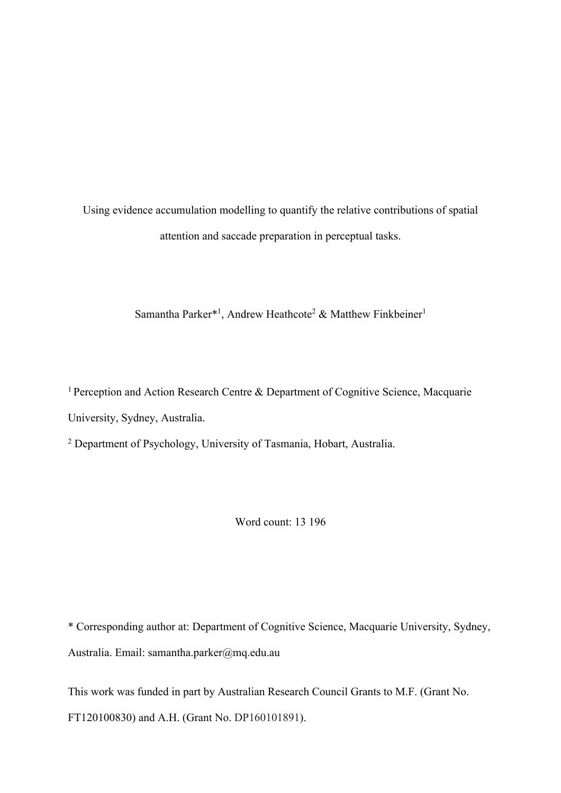Using evidence accumulation modelling to quantify the relative contributions of spatial attention and saccade preparation in perceptual tasks.

Samantha Parker<sup>\*1</sup>, Andrew Heathcote<sup>2</sup> & Matthew Finkbeiner<sup>1</sup>

<sup>1</sup> Perception and Action Research Centre & Department of Cognitive Science, Macquarie University, Sydney, Australia.

<sup>2</sup> Department of Psychology, University of Tasmania, Hobart, Australia.

Word count: 13 196

\* Corresponding author at: Department of Cognitive Science, Macquarie University, Sydney, Australia. Email: samantha.parker@mq.edu.au

This work was funded in part by Australian Research Council Grants to M.F. (Grant No. FT120100830) and A.H. (Grant No. DP160101891).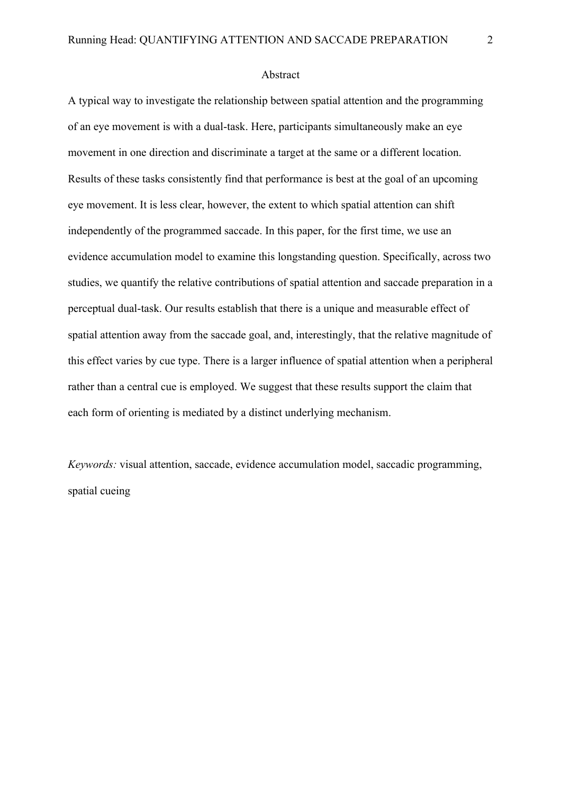#### Abstract

A typical way to investigate the relationship between spatial attention and the programming of an eye movement is with a dual-task. Here, participants simultaneously make an eye movement in one direction and discriminate a target at the same or a different location. Results of these tasks consistently find that performance is best at the goal of an upcoming eye movement. It is less clear, however, the extent to which spatial attention can shift independently of the programmed saccade. In this paper, for the first time, we use an evidence accumulation model to examine this longstanding question. Specifically, across two studies, we quantify the relative contributions of spatial attention and saccade preparation in a perceptual dual-task. Our results establish that there is a unique and measurable effect of spatial attention away from the saccade goal, and, interestingly, that the relative magnitude of this effect varies by cue type. There is a larger influence of spatial attention when a peripheral rather than a central cue is employed. We suggest that these results support the claim that each form of orienting is mediated by a distinct underlying mechanism.

*Keywords:* visual attention, saccade, evidence accumulation model, saccadic programming, spatial cueing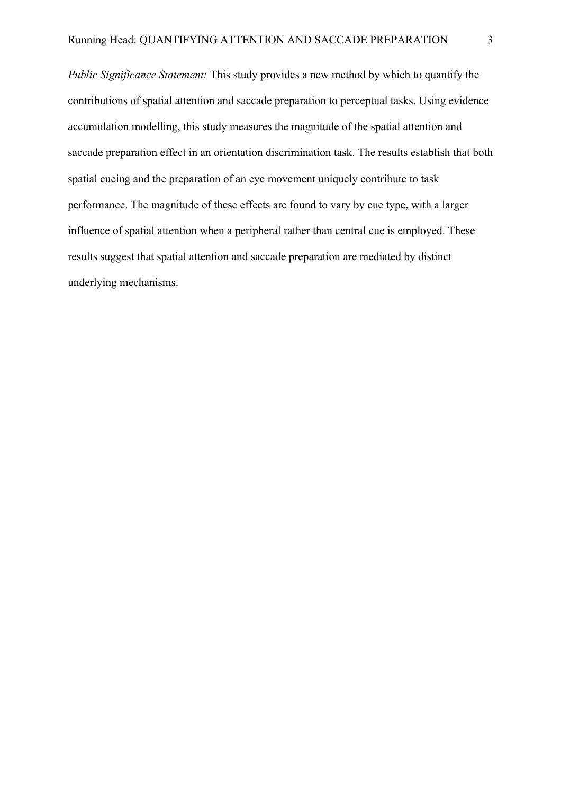*Public Significance Statement:* This study provides a new method by which to quantify the contributions of spatial attention and saccade preparation to perceptual tasks. Using evidence accumulation modelling, this study measures the magnitude of the spatial attention and saccade preparation effect in an orientation discrimination task. The results establish that both spatial cueing and the preparation of an eye movement uniquely contribute to task performance. The magnitude of these effects are found to vary by cue type, with a larger influence of spatial attention when a peripheral rather than central cue is employed. These results suggest that spatial attention and saccade preparation are mediated by distinct underlying mechanisms.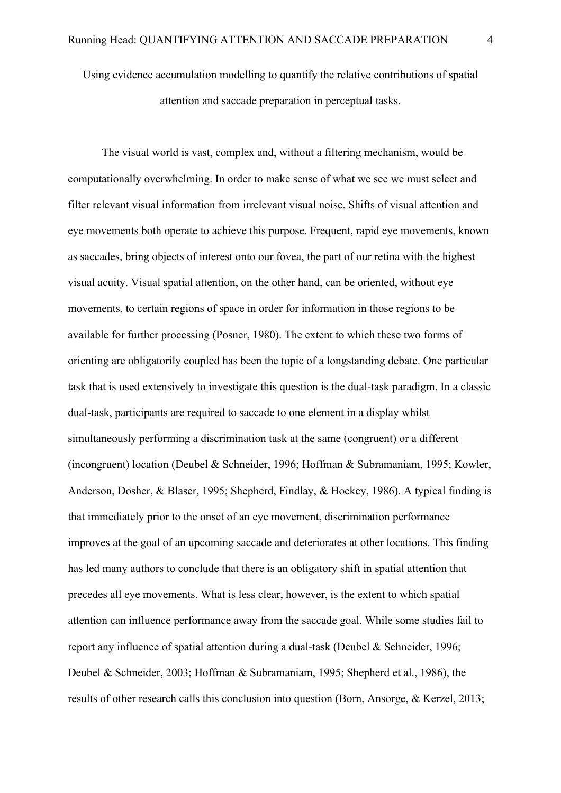Using evidence accumulation modelling to quantify the relative contributions of spatial attention and saccade preparation in perceptual tasks.

The visual world is vast, complex and, without a filtering mechanism, would be computationally overwhelming. In order to make sense of what we see we must select and filter relevant visual information from irrelevant visual noise. Shifts of visual attention and eye movements both operate to achieve this purpose. Frequent, rapid eye movements, known as saccades, bring objects of interest onto our fovea, the part of our retina with the highest visual acuity. Visual spatial attention, on the other hand, can be oriented, without eye movements, to certain regions of space in order for information in those regions to be available for further processing (Posner, 1980). The extent to which these two forms of orienting are obligatorily coupled has been the topic of a longstanding debate. One particular task that is used extensively to investigate this question is the dual-task paradigm. In a classic dual-task, participants are required to saccade to one element in a display whilst simultaneously performing a discrimination task at the same (congruent) or a different (incongruent) location (Deubel & Schneider, 1996; Hoffman & Subramaniam, 1995; Kowler, Anderson, Dosher, & Blaser, 1995; Shepherd, Findlay, & Hockey, 1986). A typical finding is that immediately prior to the onset of an eye movement, discrimination performance improves at the goal of an upcoming saccade and deteriorates at other locations. This finding has led many authors to conclude that there is an obligatory shift in spatial attention that precedes all eye movements. What is less clear, however, is the extent to which spatial attention can influence performance away from the saccade goal. While some studies fail to report any influence of spatial attention during a dual-task (Deubel & Schneider, 1996; Deubel & Schneider, 2003; Hoffman & Subramaniam, 1995; Shepherd et al., 1986), the results of other research calls this conclusion into question (Born, Ansorge, & Kerzel, 2013;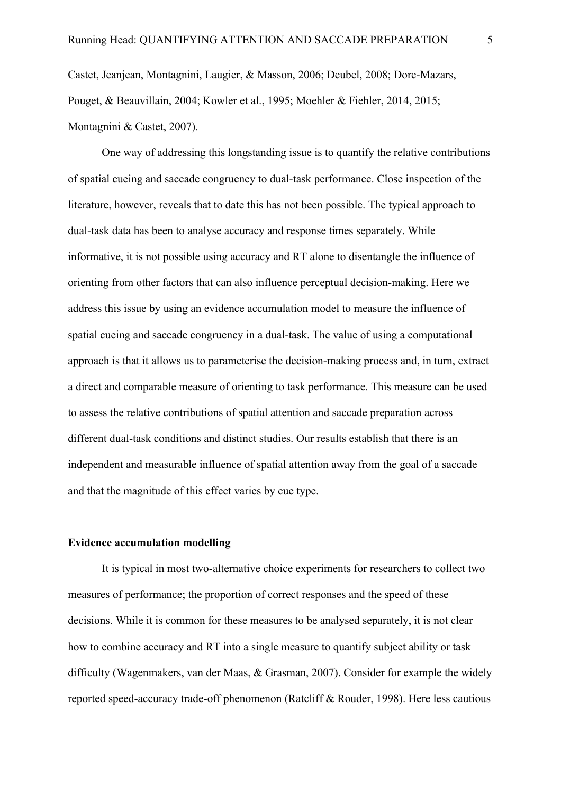Castet, Jeanjean, Montagnini, Laugier, & Masson, 2006; Deubel, 2008; Dore-Mazars, Pouget, & Beauvillain, 2004; Kowler et al., 1995; Moehler & Fiehler, 2014, 2015; Montagnini & Castet, 2007).

One way of addressing this longstanding issue is to quantify the relative contributions of spatial cueing and saccade congruency to dual-task performance. Close inspection of the literature, however, reveals that to date this has not been possible. The typical approach to dual-task data has been to analyse accuracy and response times separately. While informative, it is not possible using accuracy and RT alone to disentangle the influence of orienting from other factors that can also influence perceptual decision-making. Here we address this issue by using an evidence accumulation model to measure the influence of spatial cueing and saccade congruency in a dual-task. The value of using a computational approach is that it allows us to parameterise the decision-making process and, in turn, extract a direct and comparable measure of orienting to task performance. This measure can be used to assess the relative contributions of spatial attention and saccade preparation across different dual-task conditions and distinct studies. Our results establish that there is an independent and measurable influence of spatial attention away from the goal of a saccade and that the magnitude of this effect varies by cue type.

# **Evidence accumulation modelling**

It is typical in most two-alternative choice experiments for researchers to collect two measures of performance; the proportion of correct responses and the speed of these decisions. While it is common for these measures to be analysed separately, it is not clear how to combine accuracy and RT into a single measure to quantify subject ability or task difficulty (Wagenmakers, van der Maas, & Grasman, 2007). Consider for example the widely reported speed-accuracy trade-off phenomenon (Ratcliff & Rouder, 1998). Here less cautious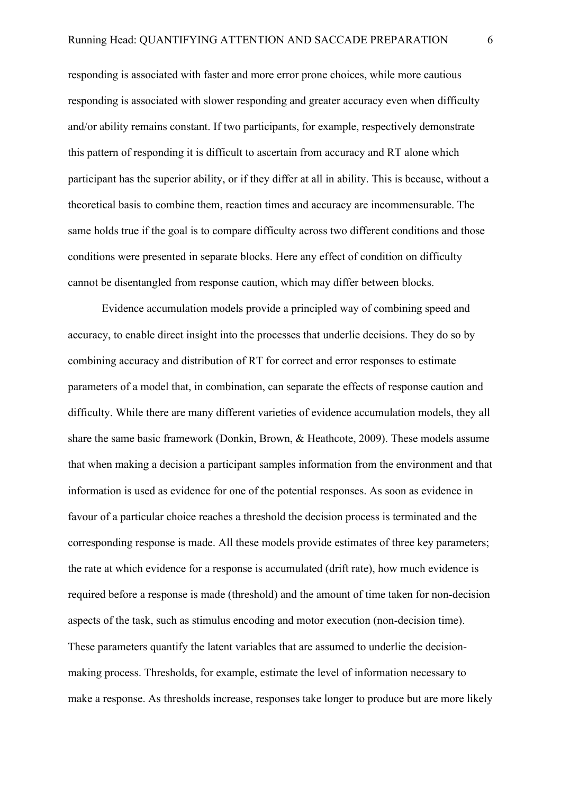responding is associated with faster and more error prone choices, while more cautious responding is associated with slower responding and greater accuracy even when difficulty and/or ability remains constant. If two participants, for example, respectively demonstrate this pattern of responding it is difficult to ascertain from accuracy and RT alone which participant has the superior ability, or if they differ at all in ability. This is because, without a theoretical basis to combine them, reaction times and accuracy are incommensurable. The same holds true if the goal is to compare difficulty across two different conditions and those conditions were presented in separate blocks. Here any effect of condition on difficulty cannot be disentangled from response caution, which may differ between blocks.

Evidence accumulation models provide a principled way of combining speed and accuracy, to enable direct insight into the processes that underlie decisions. They do so by combining accuracy and distribution of RT for correct and error responses to estimate parameters of a model that, in combination, can separate the effects of response caution and difficulty. While there are many different varieties of evidence accumulation models, they all share the same basic framework (Donkin, Brown, & Heathcote, 2009). These models assume that when making a decision a participant samples information from the environment and that information is used as evidence for one of the potential responses. As soon as evidence in favour of a particular choice reaches a threshold the decision process is terminated and the corresponding response is made. All these models provide estimates of three key parameters; the rate at which evidence for a response is accumulated (drift rate), how much evidence is required before a response is made (threshold) and the amount of time taken for non-decision aspects of the task, such as stimulus encoding and motor execution (non-decision time). These parameters quantify the latent variables that are assumed to underlie the decisionmaking process. Thresholds, for example, estimate the level of information necessary to make a response. As thresholds increase, responses take longer to produce but are more likely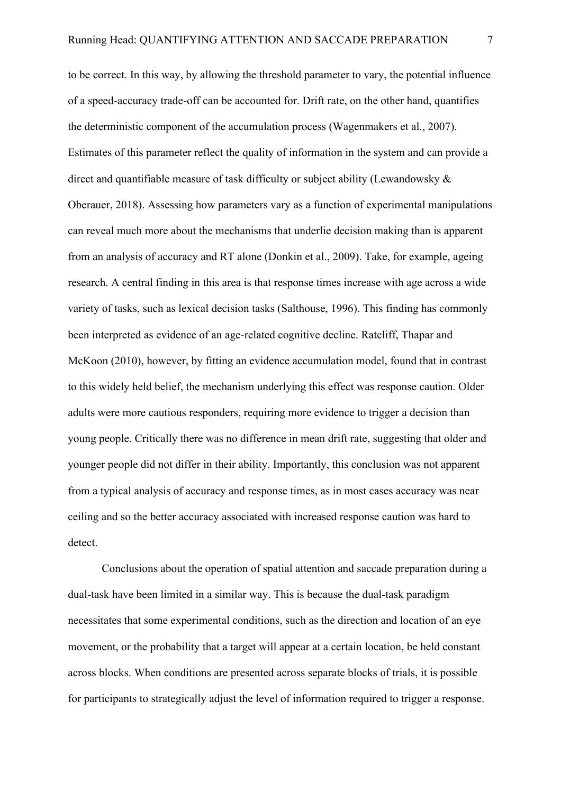to be correct. In this way, by allowing the threshold parameter to vary, the potential influence of a speed-accuracy trade-off can be accounted for. Drift rate, on the other hand, quantifies the deterministic component of the accumulation process (Wagenmakers et al., 2007). Estimates of this parameter reflect the quality of information in the system and can provide a direct and quantifiable measure of task difficulty or subject ability (Lewandowsky & Oberauer, 2018). Assessing how parameters vary as a function of experimental manipulations can reveal much more about the mechanisms that underlie decision making than is apparent from an analysis of accuracy and RT alone (Donkin et al., 2009). Take, for example, ageing research. A central finding in this area is that response times increase with age across a wide variety of tasks, such as lexical decision tasks (Salthouse, 1996). This finding has commonly been interpreted as evidence of an age-related cognitive decline. Ratcliff, Thapar and McKoon (2010), however, by fitting an evidence accumulation model, found that in contrast to this widely held belief, the mechanism underlying this effect was response caution. Older adults were more cautious responders, requiring more evidence to trigger a decision than young people. Critically there was no difference in mean drift rate, suggesting that older and younger people did not differ in their ability. Importantly, this conclusion was not apparent from a typical analysis of accuracy and response times, as in most cases accuracy was near ceiling and so the better accuracy associated with increased response caution was hard to detect.

Conclusions about the operation of spatial attention and saccade preparation during a dual-task have been limited in a similar way. This is because the dual-task paradigm necessitates that some experimental conditions, such as the direction and location of an eye movement, or the probability that a target will appear at a certain location, be held constant across blocks. When conditions are presented across separate blocks of trials, it is possible for participants to strategically adjust the level of information required to trigger a response.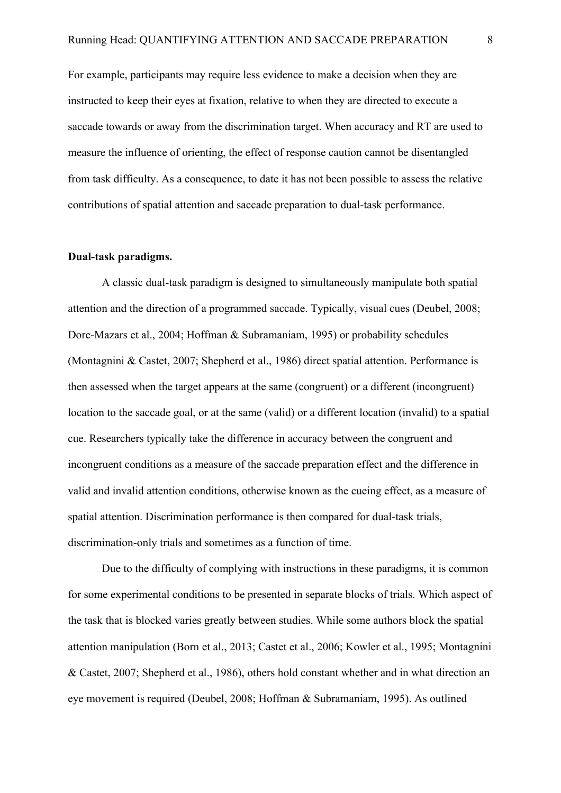For example, participants may require less evidence to make a decision when they are instructed to keep their eyes at fixation, relative to when they are directed to execute a saccade towards or away from the discrimination target. When accuracy and RT are used to measure the influence of orienting, the effect of response caution cannot be disentangled from task difficulty. As a consequence, to date it has not been possible to assess the relative contributions of spatial attention and saccade preparation to dual-task performance.

### **Dual-task paradigms.**

A classic dual-task paradigm is designed to simultaneously manipulate both spatial attention and the direction of a programmed saccade. Typically, visual cues (Deubel, 2008; Dore-Mazars et al., 2004; Hoffman & Subramaniam, 1995) or probability schedules (Montagnini & Castet, 2007; Shepherd et al., 1986) direct spatial attention. Performance is then assessed when the target appears at the same (congruent) or a different (incongruent) location to the saccade goal, or at the same (valid) or a different location (invalid) to a spatial cue. Researchers typically take the difference in accuracy between the congruent and incongruent conditions as a measure of the saccade preparation effect and the difference in valid and invalid attention conditions, otherwise known as the cueing effect, as a measure of spatial attention. Discrimination performance is then compared for dual-task trials, discrimination-only trials and sometimes as a function of time.

Due to the difficulty of complying with instructions in these paradigms, it is common for some experimental conditions to be presented in separate blocks of trials. Which aspect of the task that is blocked varies greatly between studies. While some authors block the spatial attention manipulation (Born et al., 2013; Castet et al., 2006; Kowler et al., 1995; Montagnini & Castet, 2007; Shepherd et al., 1986), others hold constant whether and in what direction an eye movement is required (Deubel, 2008; Hoffman & Subramaniam, 1995). As outlined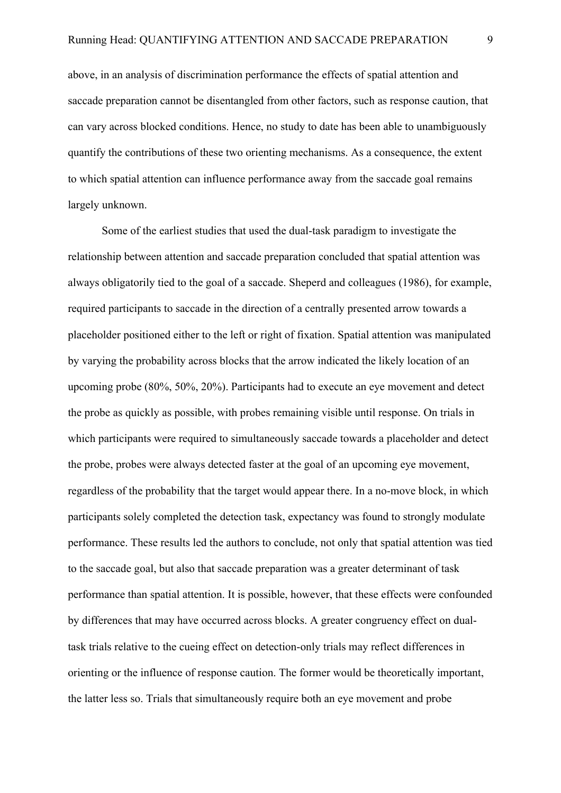above, in an analysis of discrimination performance the effects of spatial attention and saccade preparation cannot be disentangled from other factors, such as response caution, that can vary across blocked conditions. Hence, no study to date has been able to unambiguously quantify the contributions of these two orienting mechanisms. As a consequence, the extent to which spatial attention can influence performance away from the saccade goal remains largely unknown.

Some of the earliest studies that used the dual-task paradigm to investigate the relationship between attention and saccade preparation concluded that spatial attention was always obligatorily tied to the goal of a saccade. Sheperd and colleagues (1986), for example, required participants to saccade in the direction of a centrally presented arrow towards a placeholder positioned either to the left or right of fixation. Spatial attention was manipulated by varying the probability across blocks that the arrow indicated the likely location of an upcoming probe (80%, 50%, 20%). Participants had to execute an eye movement and detect the probe as quickly as possible, with probes remaining visible until response. On trials in which participants were required to simultaneously saccade towards a placeholder and detect the probe, probes were always detected faster at the goal of an upcoming eye movement, regardless of the probability that the target would appear there. In a no-move block, in which participants solely completed the detection task, expectancy was found to strongly modulate performance. These results led the authors to conclude, not only that spatial attention was tied to the saccade goal, but also that saccade preparation was a greater determinant of task performance than spatial attention. It is possible, however, that these effects were confounded by differences that may have occurred across blocks. A greater congruency effect on dualtask trials relative to the cueing effect on detection-only trials may reflect differences in orienting or the influence of response caution. The former would be theoretically important, the latter less so. Trials that simultaneously require both an eye movement and probe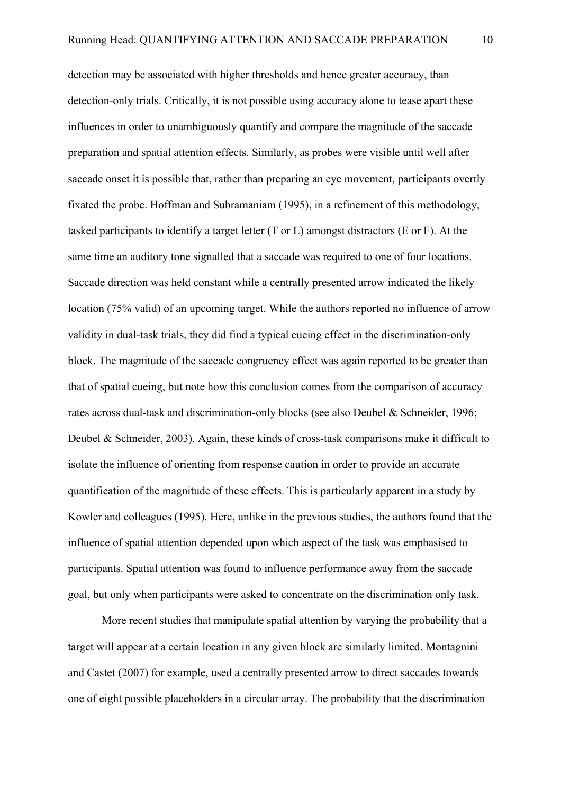detection may be associated with higher thresholds and hence greater accuracy, than detection-only trials. Critically, it is not possible using accuracy alone to tease apart these influences in order to unambiguously quantify and compare the magnitude of the saccade preparation and spatial attention effects. Similarly, as probes were visible until well after saccade onset it is possible that, rather than preparing an eye movement, participants overtly fixated the probe. Hoffman and Subramaniam (1995), in a refinement of this methodology, tasked participants to identify a target letter (T or L) amongst distractors (E or F). At the same time an auditory tone signalled that a saccade was required to one of four locations. Saccade direction was held constant while a centrally presented arrow indicated the likely location (75% valid) of an upcoming target. While the authors reported no influence of arrow validity in dual-task trials, they did find a typical cueing effect in the discrimination-only block. The magnitude of the saccade congruency effect was again reported to be greater than that of spatial cueing, but note how this conclusion comes from the comparison of accuracy rates across dual-task and discrimination-only blocks (see also Deubel & Schneider, 1996; Deubel & Schneider, 2003). Again, these kinds of cross-task comparisons make it difficult to isolate the influence of orienting from response caution in order to provide an accurate quantification of the magnitude of these effects. This is particularly apparent in a study by Kowler and colleagues (1995). Here, unlike in the previous studies, the authors found that the influence of spatial attention depended upon which aspect of the task was emphasised to participants. Spatial attention was found to influence performance away from the saccade goal, but only when participants were asked to concentrate on the discrimination only task.

More recent studies that manipulate spatial attention by varying the probability that a target will appear at a certain location in any given block are similarly limited. Montagnini and Castet (2007) for example, used a centrally presented arrow to direct saccades towards one of eight possible placeholders in a circular array. The probability that the discrimination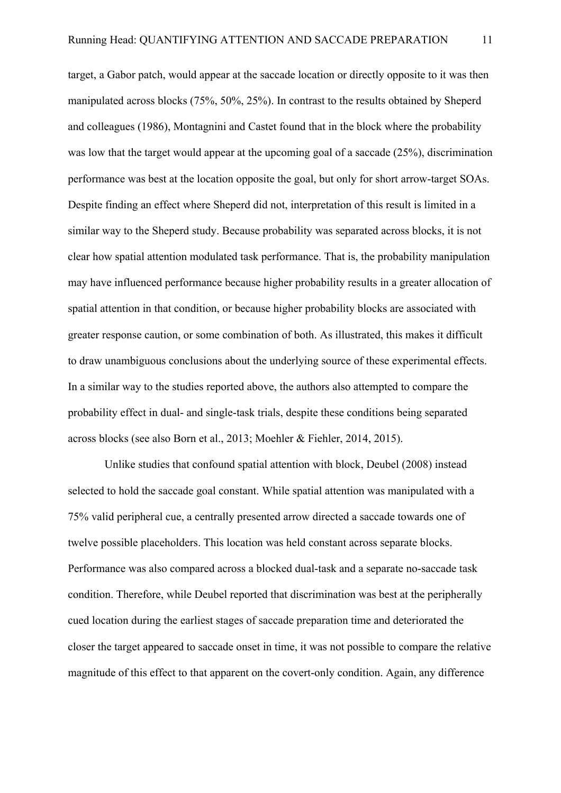target, a Gabor patch, would appear at the saccade location or directly opposite to it was then manipulated across blocks (75%, 50%, 25%). In contrast to the results obtained by Sheperd and colleagues (1986), Montagnini and Castet found that in the block where the probability was low that the target would appear at the upcoming goal of a saccade (25%), discrimination performance was best at the location opposite the goal, but only for short arrow-target SOAs. Despite finding an effect where Sheperd did not, interpretation of this result is limited in a similar way to the Sheperd study. Because probability was separated across blocks, it is not clear how spatial attention modulated task performance. That is, the probability manipulation may have influenced performance because higher probability results in a greater allocation of spatial attention in that condition, or because higher probability blocks are associated with greater response caution, or some combination of both. As illustrated, this makes it difficult to draw unambiguous conclusions about the underlying source of these experimental effects. In a similar way to the studies reported above, the authors also attempted to compare the probability effect in dual- and single-task trials, despite these conditions being separated across blocks (see also Born et al., 2013; Moehler & Fiehler, 2014, 2015).

Unlike studies that confound spatial attention with block, Deubel (2008) instead selected to hold the saccade goal constant. While spatial attention was manipulated with a 75% valid peripheral cue, a centrally presented arrow directed a saccade towards one of twelve possible placeholders. This location was held constant across separate blocks. Performance was also compared across a blocked dual-task and a separate no-saccade task condition. Therefore, while Deubel reported that discrimination was best at the peripherally cued location during the earliest stages of saccade preparation time and deteriorated the closer the target appeared to saccade onset in time, it was not possible to compare the relative magnitude of this effect to that apparent on the covert-only condition. Again, any difference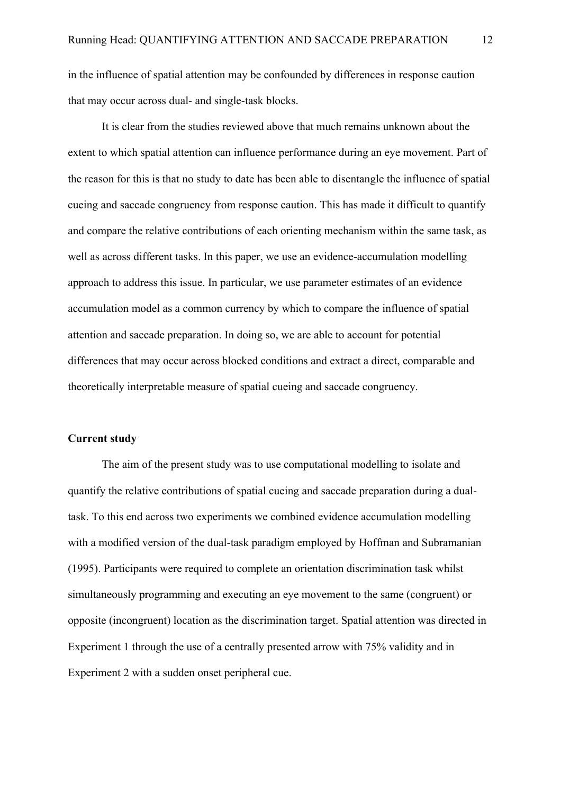in the influence of spatial attention may be confounded by differences in response caution that may occur across dual- and single-task blocks.

It is clear from the studies reviewed above that much remains unknown about the extent to which spatial attention can influence performance during an eye movement. Part of the reason for this is that no study to date has been able to disentangle the influence of spatial cueing and saccade congruency from response caution. This has made it difficult to quantify and compare the relative contributions of each orienting mechanism within the same task, as well as across different tasks. In this paper, we use an evidence-accumulation modelling approach to address this issue. In particular, we use parameter estimates of an evidence accumulation model as a common currency by which to compare the influence of spatial attention and saccade preparation. In doing so, we are able to account for potential differences that may occur across blocked conditions and extract a direct, comparable and theoretically interpretable measure of spatial cueing and saccade congruency.

## **Current study**

The aim of the present study was to use computational modelling to isolate and quantify the relative contributions of spatial cueing and saccade preparation during a dualtask. To this end across two experiments we combined evidence accumulation modelling with a modified version of the dual-task paradigm employed by Hoffman and Subramanian (1995). Participants were required to complete an orientation discrimination task whilst simultaneously programming and executing an eye movement to the same (congruent) or opposite (incongruent) location as the discrimination target. Spatial attention was directed in Experiment 1 through the use of a centrally presented arrow with 75% validity and in Experiment 2 with a sudden onset peripheral cue.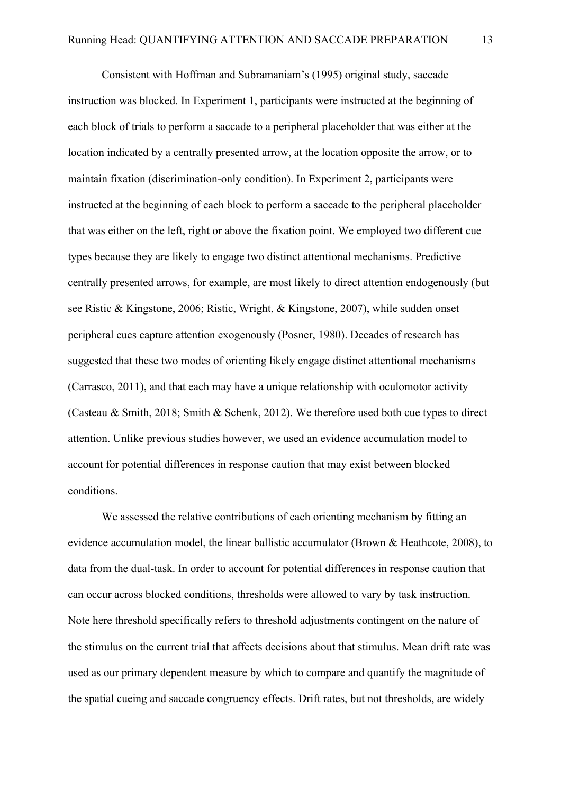Consistent with Hoffman and Subramaniam's (1995) original study, saccade instruction was blocked. In Experiment 1, participants were instructed at the beginning of each block of trials to perform a saccade to a peripheral placeholder that was either at the location indicated by a centrally presented arrow, at the location opposite the arrow, or to maintain fixation (discrimination-only condition). In Experiment 2, participants were instructed at the beginning of each block to perform a saccade to the peripheral placeholder that was either on the left, right or above the fixation point. We employed two different cue types because they are likely to engage two distinct attentional mechanisms. Predictive centrally presented arrows, for example, are most likely to direct attention endogenously (but see Ristic & Kingstone, 2006; Ristic, Wright, & Kingstone, 2007), while sudden onset peripheral cues capture attention exogenously (Posner, 1980). Decades of research has suggested that these two modes of orienting likely engage distinct attentional mechanisms (Carrasco, 2011), and that each may have a unique relationship with oculomotor activity (Casteau & Smith, 2018; Smith & Schenk, 2012). We therefore used both cue types to direct attention. Unlike previous studies however, we used an evidence accumulation model to account for potential differences in response caution that may exist between blocked conditions.

We assessed the relative contributions of each orienting mechanism by fitting an evidence accumulation model, the linear ballistic accumulator (Brown & Heathcote, 2008), to data from the dual-task. In order to account for potential differences in response caution that can occur across blocked conditions, thresholds were allowed to vary by task instruction. Note here threshold specifically refers to threshold adjustments contingent on the nature of the stimulus on the current trial that affects decisions about that stimulus. Mean drift rate was used as our primary dependent measure by which to compare and quantify the magnitude of the spatial cueing and saccade congruency effects. Drift rates, but not thresholds, are widely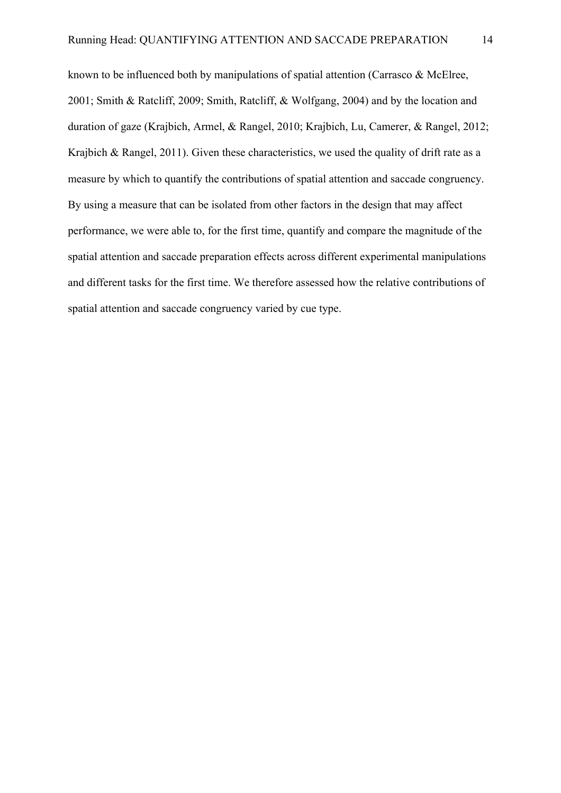known to be influenced both by manipulations of spatial attention (Carrasco & McElree, 2001; Smith & Ratcliff, 2009; Smith, Ratcliff, & Wolfgang, 2004) and by the location and duration of gaze (Krajbich, Armel, & Rangel, 2010; Krajbich, Lu, Camerer, & Rangel, 2012; Krajbich & Rangel, 2011). Given these characteristics, we used the quality of drift rate as a measure by which to quantify the contributions of spatial attention and saccade congruency. By using a measure that can be isolated from other factors in the design that may affect performance, we were able to, for the first time, quantify and compare the magnitude of the spatial attention and saccade preparation effects across different experimental manipulations and different tasks for the first time. We therefore assessed how the relative contributions of spatial attention and saccade congruency varied by cue type.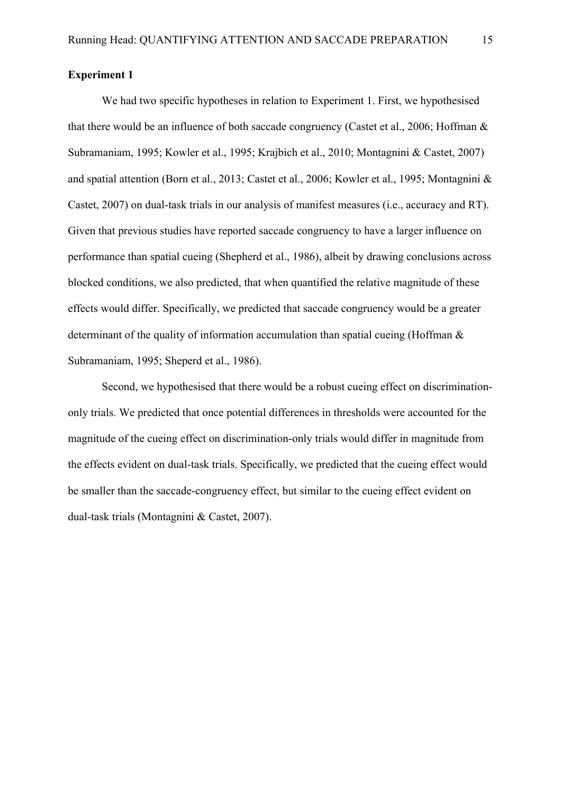# **Experiment 1**

We had two specific hypotheses in relation to Experiment 1. First, we hypothesised that there would be an influence of both saccade congruency (Castet et al., 2006; Hoffman & Subramaniam, 1995; Kowler et al., 1995; Krajbich et al., 2010; Montagnini & Castet, 2007) and spatial attention (Born et al., 2013; Castet et al., 2006; Kowler et al., 1995; Montagnini & Castet, 2007) on dual-task trials in our analysis of manifest measures (i.e., accuracy and RT). Given that previous studies have reported saccade congruency to have a larger influence on performance than spatial cueing (Shepherd et al., 1986), albeit by drawing conclusions across blocked conditions, we also predicted, that when quantified the relative magnitude of these effects would differ. Specifically, we predicted that saccade congruency would be a greater determinant of the quality of information accumulation than spatial cueing (Hoffman & Subramaniam, 1995; Sheperd et al., 1986).

Second, we hypothesised that there would be a robust cueing effect on discriminationonly trials. We predicted that once potential differences in thresholds were accounted for the magnitude of the cueing effect on discrimination-only trials would differ in magnitude from the effects evident on dual-task trials. Specifically, we predicted that the cueing effect would be smaller than the saccade-congruency effect, but similar to the cueing effect evident on dual-task trials (Montagnini & Castet, 2007).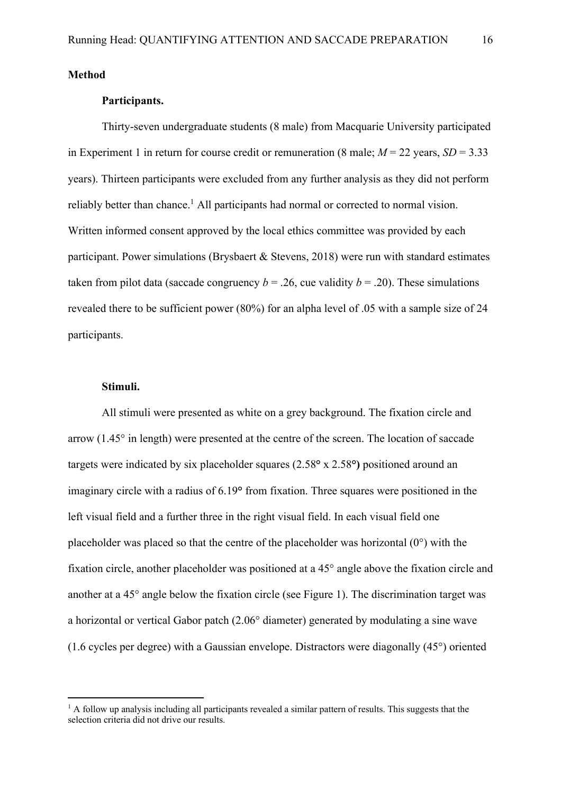**Method**

## **Participants.**

Thirty-seven undergraduate students (8 male) from Macquarie University participated in Experiment 1 in return for course credit or remuneration (8 male;  $M = 22$  years,  $SD = 3.33$ years). Thirteen participants were excluded from any further analysis as they did not perform reliably better than chance.<sup>1</sup> All participants had normal or corrected to normal vision. Written informed consent approved by the local ethics committee was provided by each participant. Power simulations (Brysbaert & Stevens, 2018) were run with standard estimates taken from pilot data (saccade congruency  $b = .26$ , cue validity  $b = .20$ ). These simulations revealed there to be sufficient power (80%) for an alpha level of .05 with a sample size of 24 participants.

## **Stimuli.**

All stimuli were presented as white on a grey background. The fixation circle and arrow (1.45° in length) were presented at the centre of the screen. The location of saccade targets were indicated by six placeholder squares (2.58**°** x 2.58**°)** positioned around an imaginary circle with a radius of 6.19**°** from fixation. Three squares were positioned in the left visual field and a further three in the right visual field. In each visual field one placeholder was placed so that the centre of the placeholder was horizontal  $(0^{\circ})$  with the fixation circle, another placeholder was positioned at a 45° angle above the fixation circle and another at a 45° angle below the fixation circle (see Figure 1). The discrimination target was a horizontal or vertical Gabor patch (2.06° diameter) generated by modulating a sine wave (1.6 cycles per degree) with a Gaussian envelope. Distractors were diagonally (45°) oriented

 $<sup>1</sup>$  A follow up analysis including all participants revealed a similar pattern of results. This suggests that the</sup> selection criteria did not drive our results.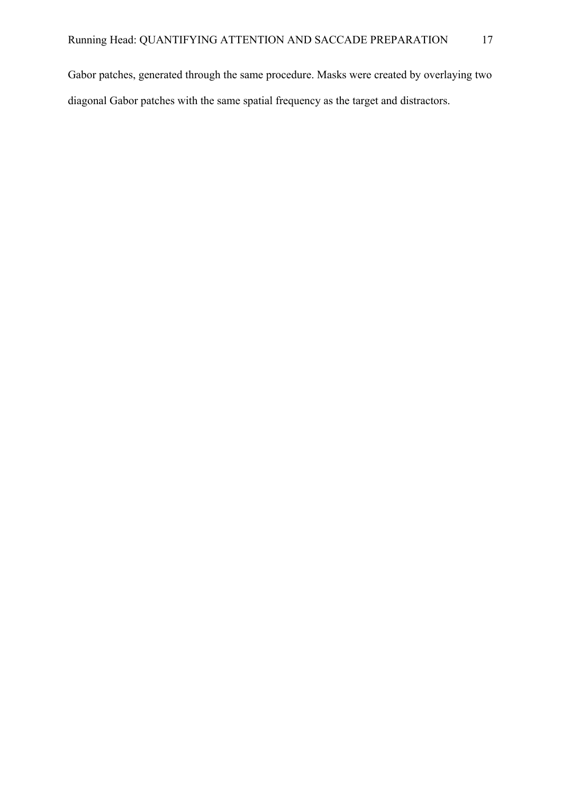Gabor patches, generated through the same procedure. Masks were created by overlaying two diagonal Gabor patches with the same spatial frequency as the target and distractors.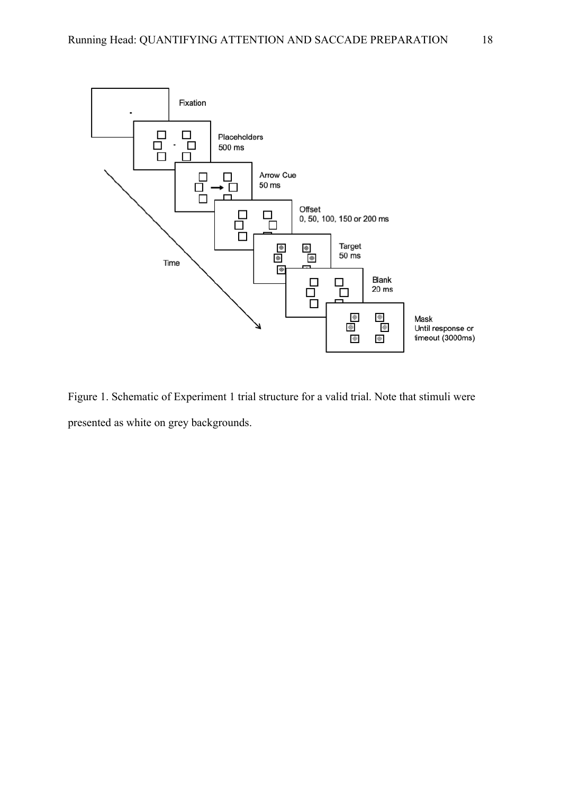

Figure 1. Schematic of Experiment 1 trial structure for a valid trial. Note that stimuli were presented as white on grey backgrounds.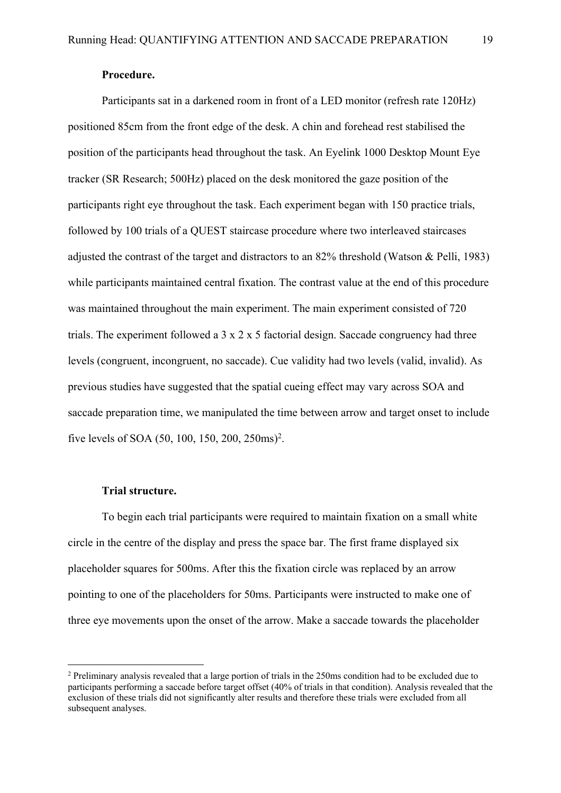# **Procedure.**

Participants sat in a darkened room in front of a LED monitor (refresh rate 120Hz) positioned 85cm from the front edge of the desk. A chin and forehead rest stabilised the position of the participants head throughout the task. An Eyelink 1000 Desktop Mount Eye tracker (SR Research; 500Hz) placed on the desk monitored the gaze position of the participants right eye throughout the task. Each experiment began with 150 practice trials, followed by 100 trials of a QUEST staircase procedure where two interleaved staircases adjusted the contrast of the target and distractors to an 82% threshold (Watson & Pelli, 1983) while participants maintained central fixation. The contrast value at the end of this procedure was maintained throughout the main experiment. The main experiment consisted of 720 trials. The experiment followed a 3 x 2 x 5 factorial design. Saccade congruency had three levels (congruent, incongruent, no saccade). Cue validity had two levels (valid, invalid). As previous studies have suggested that the spatial cueing effect may vary across SOA and saccade preparation time, we manipulated the time between arrow and target onset to include five levels of SOA (50, 100, 150, 200, 250ms)<sup>2</sup>.

# **Trial structure.**

To begin each trial participants were required to maintain fixation on a small white circle in the centre of the display and press the space bar. The first frame displayed six placeholder squares for 500ms. After this the fixation circle was replaced by an arrow pointing to one of the placeholders for 50ms. Participants were instructed to make one of three eye movements upon the onset of the arrow. Make a saccade towards the placeholder

<sup>&</sup>lt;sup>2</sup> Preliminary analysis revealed that a large portion of trials in the 250ms condition had to be excluded due to participants performing a saccade before target offset (40% of trials in that condition). Analysis revealed that the exclusion of these trials did not significantly alter results and therefore these trials were excluded from all subsequent analyses.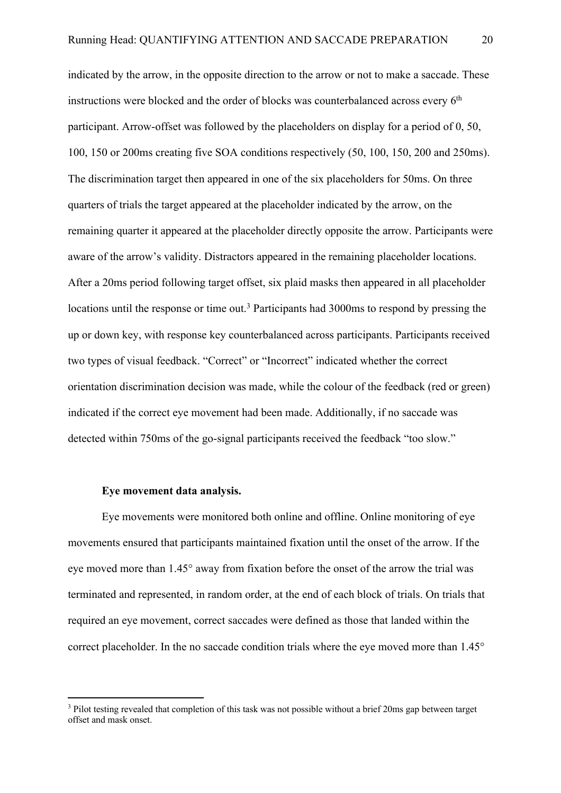indicated by the arrow, in the opposite direction to the arrow or not to make a saccade. These instructions were blocked and the order of blocks was counterbalanced across every  $6<sup>th</sup>$ participant. Arrow-offset was followed by the placeholders on display for a period of 0, 50, 100, 150 or 200ms creating five SOA conditions respectively (50, 100, 150, 200 and 250ms). The discrimination target then appeared in one of the six placeholders for 50ms. On three quarters of trials the target appeared at the placeholder indicated by the arrow, on the remaining quarter it appeared at the placeholder directly opposite the arrow. Participants were aware of the arrow's validity. Distractors appeared in the remaining placeholder locations. After a 20ms period following target offset, six plaid masks then appeared in all placeholder locations until the response or time out.<sup>3</sup> Participants had 3000ms to respond by pressing the up or down key, with response key counterbalanced across participants. Participants received two types of visual feedback. "Correct" or "Incorrect" indicated whether the correct orientation discrimination decision was made, while the colour of the feedback (red or green) indicated if the correct eye movement had been made. Additionally, if no saccade was detected within 750ms of the go-signal participants received the feedback "too slow."

## **Eye movement data analysis.**

Eye movements were monitored both online and offline. Online monitoring of eye movements ensured that participants maintained fixation until the onset of the arrow. If the eye moved more than 1.45° away from fixation before the onset of the arrow the trial was terminated and represented, in random order, at the end of each block of trials. On trials that required an eye movement, correct saccades were defined as those that landed within the correct placeholder. In the no saccade condition trials where the eye moved more than 1.45°

<sup>&</sup>lt;sup>3</sup> Pilot testing revealed that completion of this task was not possible without a brief 20ms gap between target offset and mask onset.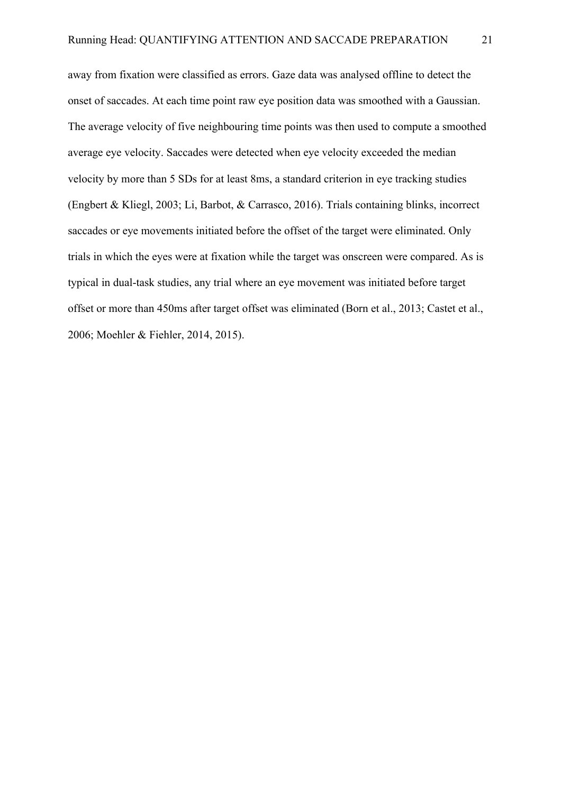away from fixation were classified as errors. Gaze data was analysed offline to detect the onset of saccades. At each time point raw eye position data was smoothed with a Gaussian. The average velocity of five neighbouring time points was then used to compute a smoothed average eye velocity. Saccades were detected when eye velocity exceeded the median velocity by more than 5 SDs for at least 8ms, a standard criterion in eye tracking studies (Engbert & Kliegl, 2003; Li, Barbot, & Carrasco, 2016). Trials containing blinks, incorrect saccades or eye movements initiated before the offset of the target were eliminated. Only trials in which the eyes were at fixation while the target was onscreen were compared. As is typical in dual-task studies, any trial where an eye movement was initiated before target offset or more than 450ms after target offset was eliminated (Born et al., 2013; Castet et al., 2006; Moehler & Fiehler, 2014, 2015).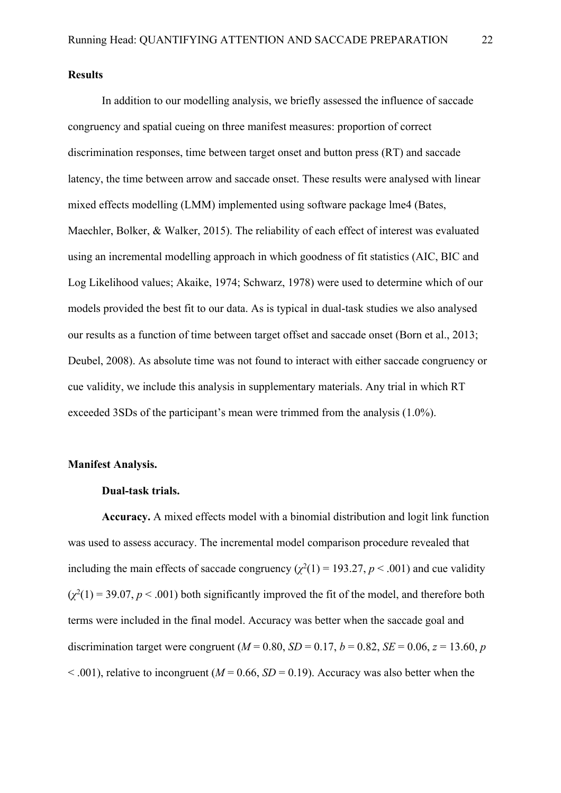### **Results**

In addition to our modelling analysis, we briefly assessed the influence of saccade congruency and spatial cueing on three manifest measures: proportion of correct discrimination responses, time between target onset and button press (RT) and saccade latency, the time between arrow and saccade onset. These results were analysed with linear mixed effects modelling (LMM) implemented using software package lme4 (Bates, Maechler, Bolker, & Walker, 2015). The reliability of each effect of interest was evaluated using an incremental modelling approach in which goodness of fit statistics (AIC, BIC and Log Likelihood values; Akaike, 1974; Schwarz, 1978) were used to determine which of our models provided the best fit to our data. As is typical in dual-task studies we also analysed our results as a function of time between target offset and saccade onset (Born et al., 2013; Deubel, 2008). As absolute time was not found to interact with either saccade congruency or cue validity, we include this analysis in supplementary materials. Any trial in which RT exceeded 3SDs of the participant's mean were trimmed from the analysis (1.0%).

## **Manifest Analysis.**

# **Dual-task trials.**

**Accuracy.** A mixed effects model with a binomial distribution and logit link function was used to assess accuracy. The incremental model comparison procedure revealed that including the main effects of saccade congruency  $(\chi^2(1) = 193.27, p < .001)$  and cue validity  $(\chi^2(1) = 39.07, p < .001)$  both significantly improved the fit of the model, and therefore both terms were included in the final model. Accuracy was better when the saccade goal and discrimination target were congruent ( $M = 0.80$ ,  $SD = 0.17$ ,  $b = 0.82$ ,  $SE = 0.06$ ,  $z = 13.60$ , *p*  $< .001$ ), relative to incongruent ( $M = 0.66$ ,  $SD = 0.19$ ). Accuracy was also better when the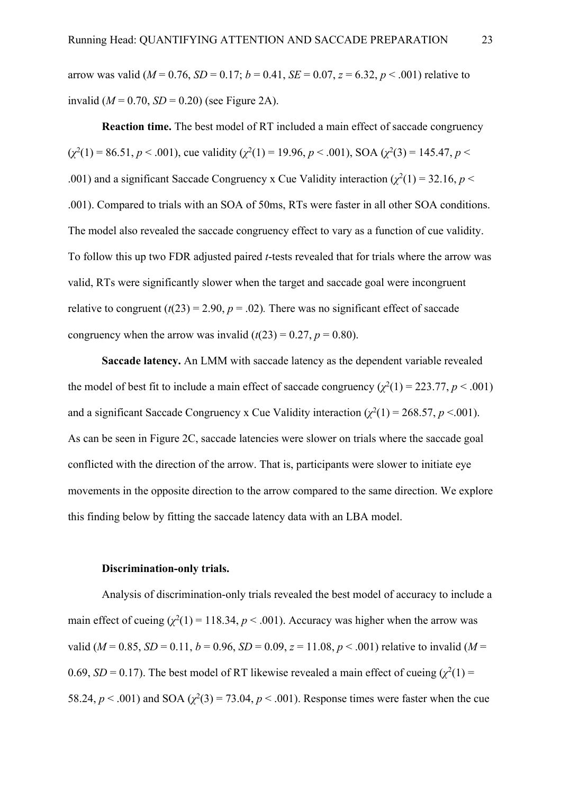arrow was valid ( $M = 0.76$ ,  $SD = 0.17$ ;  $b = 0.41$ ,  $SE = 0.07$ ,  $z = 6.32$ ,  $p < .001$ ) relative to invalid ( $M = 0.70$ ,  $SD = 0.20$ ) (see Figure 2A).

**Reaction time.** The best model of RT included a main effect of saccade congruency  $(\chi^2(1) = 86.51, p < .001)$ , cue validity  $(\chi^2(1) = 19.96, p < .001)$ , SOA  $(\chi^2(3) = 145.47, p < .001)$ .001) and a significant Saccade Congruency x Cue Validity interaction  $(\chi^2(1) = 32.16, p <$ .001). Compared to trials with an SOA of 50ms, RTs were faster in all other SOA conditions. The model also revealed the saccade congruency effect to vary as a function of cue validity. To follow this up two FDR adjusted paired *t*-tests revealed that for trials where the arrow was valid, RTs were significantly slower when the target and saccade goal were incongruent relative to congruent  $(t(23) = 2.90, p = .02)$ . There was no significant effect of saccade congruency when the arrow was invalid  $(t(23) = 0.27, p = 0.80)$ .

**Saccade latency.** An LMM with saccade latency as the dependent variable revealed the model of best fit to include a main effect of saccade congruency  $(\chi^2(1) = 223.77, p < .001)$ and a significant Saccade Congruency x Cue Validity interaction  $(\chi^2(1) = 268.57, p < 0.001)$ . As can be seen in Figure 2C, saccade latencies were slower on trials where the saccade goal conflicted with the direction of the arrow. That is, participants were slower to initiate eye movements in the opposite direction to the arrow compared to the same direction. We explore this finding below by fitting the saccade latency data with an LBA model.

### **Discrimination-only trials.**

Analysis of discrimination-only trials revealed the best model of accuracy to include a main effect of cueing  $(\chi^2(1) = 118.34, p < .001)$ . Accuracy was higher when the arrow was valid ( $M = 0.85$ ,  $SD = 0.11$ ,  $b = 0.96$ ,  $SD = 0.09$ ,  $z = 11.08$ ,  $p < .001$ ) relative to invalid ( $M =$ 0.69,  $SD = 0.17$ ). The best model of RT likewise revealed a main effect of cueing  $(\chi^2(1) =$ 58.24,  $p < .001$ ) and SOA  $\left(\chi^2(3) = 73.04, p < .001\right)$ . Response times were faster when the cue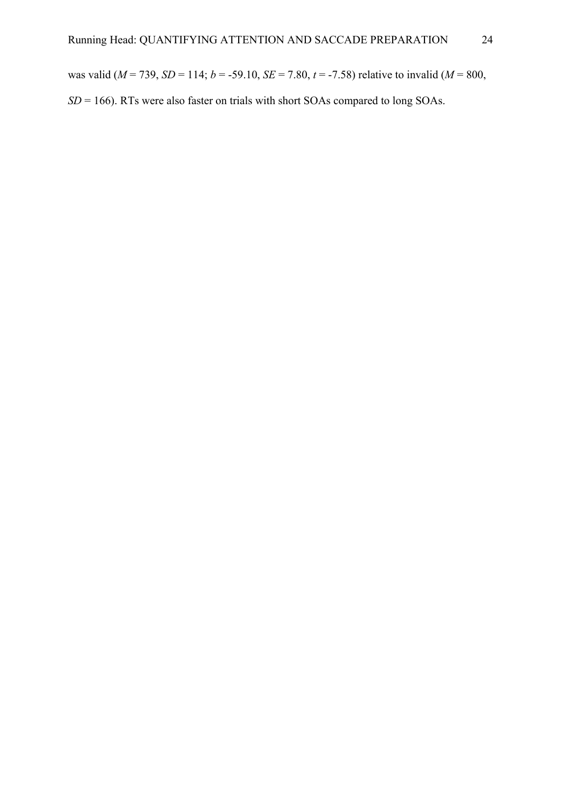was valid (*M* = 739, *SD* = 114; *b* = -59.10, *SE* = 7.80, *t* = -7.58) relative to invalid (*M* = 800,

*SD* = 166). RTs were also faster on trials with short SOAs compared to long SOAs.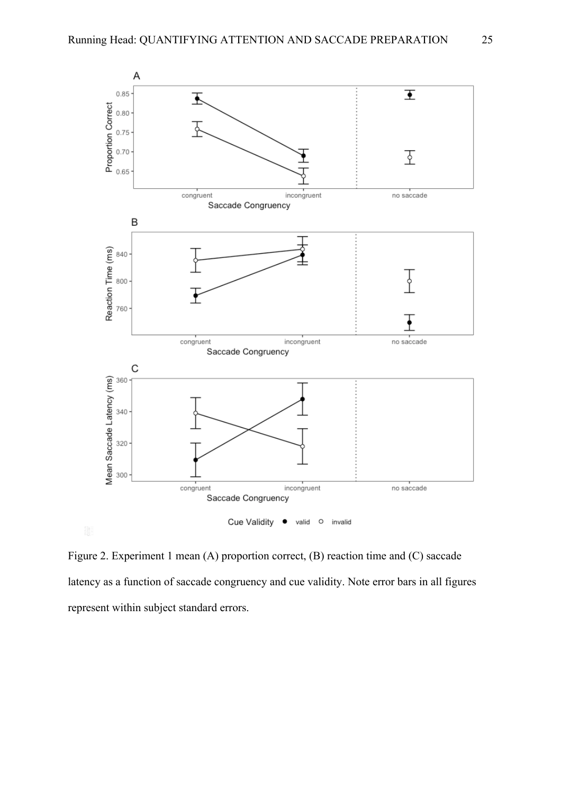

Figure 2. Experiment 1 mean (A) proportion correct, (B) reaction time and (C) saccade latency as a function of saccade congruency and cue validity. Note error bars in all figures represent within subject standard errors.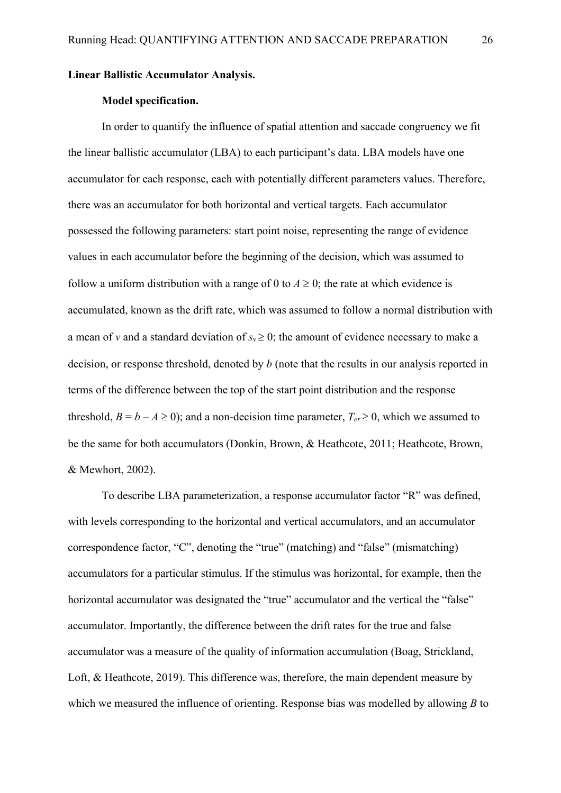### **Linear Ballistic Accumulator Analysis.**

### **Model specification.**

In order to quantify the influence of spatial attention and saccade congruency we fit the linear ballistic accumulator (LBA) to each participant's data. LBA models have one accumulator for each response, each with potentially different parameters values. Therefore, there was an accumulator for both horizontal and vertical targets. Each accumulator possessed the following parameters: start point noise, representing the range of evidence values in each accumulator before the beginning of the decision, which was assumed to follow a uniform distribution with a range of 0 to  $A \ge 0$ ; the rate at which evidence is accumulated, known as the drift rate, which was assumed to follow a normal distribution with a mean of *v* and a standard deviation of  $s_y \ge 0$ ; the amount of evidence necessary to make a decision, or response threshold, denoted by *b* (note that the results in our analysis reported in terms of the difference between the top of the start point distribution and the response threshold,  $B = b - A \ge 0$ ); and a non-decision time parameter,  $T_{er} \ge 0$ , which we assumed to be the same for both accumulators (Donkin, Brown, & Heathcote, 2011; Heathcote, Brown, & Mewhort, 2002).

To describe LBA parameterization, a response accumulator factor "R" was defined, with levels corresponding to the horizontal and vertical accumulators, and an accumulator correspondence factor, "C", denoting the "true" (matching) and "false" (mismatching) accumulators for a particular stimulus. If the stimulus was horizontal, for example, then the horizontal accumulator was designated the "true" accumulator and the vertical the "false" accumulator. Importantly, the difference between the drift rates for the true and false accumulator was a measure of the quality of information accumulation (Boag, Strickland, Loft, & Heathcote, 2019). This difference was, therefore, the main dependent measure by which we measured the influence of orienting. Response bias was modelled by allowing *B* to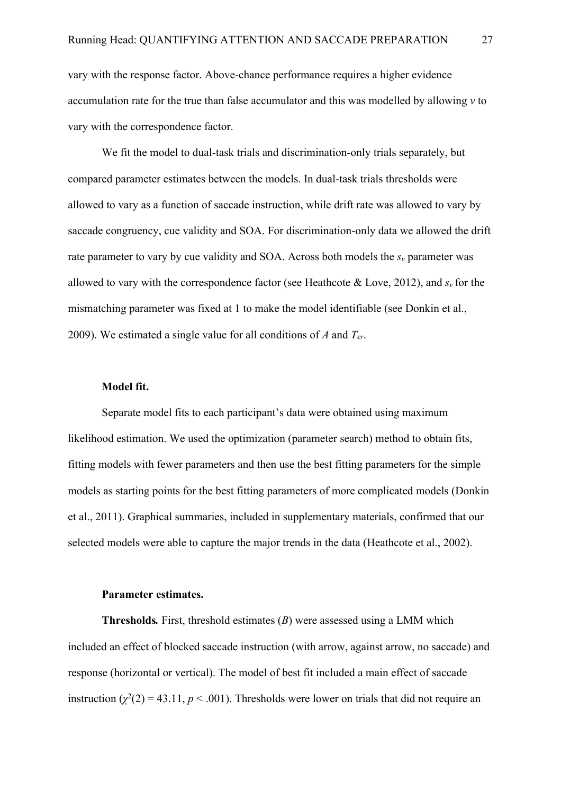vary with the response factor. Above-chance performance requires a higher evidence accumulation rate for the true than false accumulator and this was modelled by allowing *v* to vary with the correspondence factor.

We fit the model to dual-task trials and discrimination-only trials separately, but compared parameter estimates between the models. In dual-task trials thresholds were allowed to vary as a function of saccade instruction, while drift rate was allowed to vary by saccade congruency, cue validity and SOA. For discrimination-only data we allowed the drift rate parameter to vary by cue validity and SOA. Across both models the  $s_y$  parameter was allowed to vary with the correspondence factor (see Heathcote  $\&$  Love, 2012), and  $s_y$  for the mismatching parameter was fixed at 1 to make the model identifiable (see Donkin et al., 2009). We estimated a single value for all conditions of *A* and *Ter*.

## **Model fit.**

Separate model fits to each participant's data were obtained using maximum likelihood estimation. We used the optimization (parameter search) method to obtain fits, fitting models with fewer parameters and then use the best fitting parameters for the simple models as starting points for the best fitting parameters of more complicated models (Donkin et al., 2011). Graphical summaries, included in supplementary materials, confirmed that our selected models were able to capture the major trends in the data (Heathcote et al., 2002).

## **Parameter estimates.**

**Thresholds***.* First, threshold estimates (*B*) were assessed using a LMM which included an effect of blocked saccade instruction (with arrow, against arrow, no saccade) and response (horizontal or vertical). The model of best fit included a main effect of saccade instruction  $(\chi^2(2) = 43.11, p < .001)$ . Thresholds were lower on trials that did not require an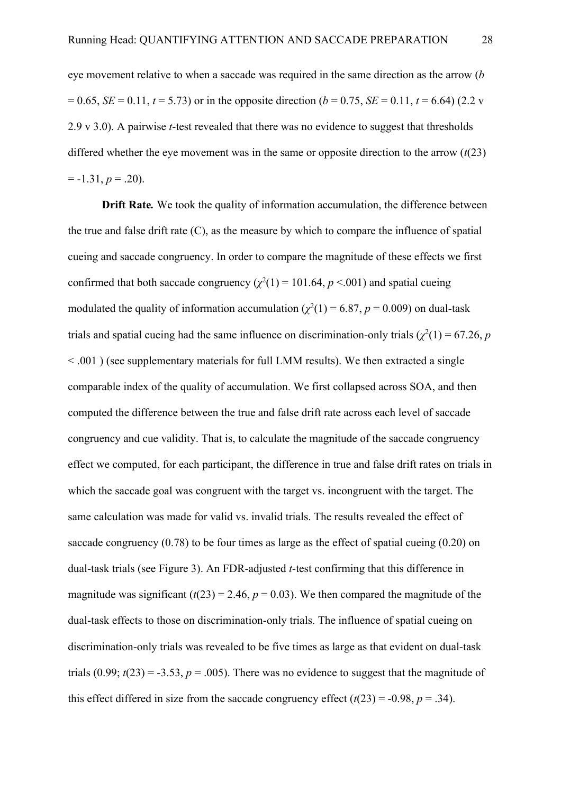eye movement relative to when a saccade was required in the same direction as the arrow (*b*   $= 0.65$ , *SE* = 0.11, *t* = 5.73) or in the opposite direction (*b* = 0.75, *SE* = 0.11, *t* = 6.64) (2.2 v 2.9 v 3.0). A pairwise *t*-test revealed that there was no evidence to suggest that thresholds differed whether the eye movement was in the same or opposite direction to the arrow (*t*(23)  $= -1.31, p = .20$ ).

**Drift Rate***.* We took the quality of information accumulation, the difference between the true and false drift rate  $(C)$ , as the measure by which to compare the influence of spatial cueing and saccade congruency. In order to compare the magnitude of these effects we first confirmed that both saccade congruency  $(\chi^2(1) = 101.64, p < 0.001)$  and spatial cueing modulated the quality of information accumulation  $(\chi^2(1) = 6.87, p = 0.009)$  on dual-task trials and spatial cueing had the same influence on discrimination-only trials  $(\chi^2(1) = 67.26, p)$ < .001 ) (see supplementary materials for full LMM results). We then extracted a single comparable index of the quality of accumulation. We first collapsed across SOA, and then computed the difference between the true and false drift rate across each level of saccade congruency and cue validity. That is, to calculate the magnitude of the saccade congruency effect we computed, for each participant, the difference in true and false drift rates on trials in which the saccade goal was congruent with the target vs. incongruent with the target. The same calculation was made for valid vs. invalid trials. The results revealed the effect of saccade congruency  $(0.78)$  to be four times as large as the effect of spatial cueing  $(0.20)$  on dual-task trials (see Figure 3). An FDR-adjusted *t-*test confirming that this difference in magnitude was significant  $(t(23) = 2.46, p = 0.03)$ . We then compared the magnitude of the dual-task effects to those on discrimination-only trials. The influence of spatial cueing on discrimination-only trials was revealed to be five times as large as that evident on dual-task trials  $(0.99; t(23) = -3.53, p = .005)$ . There was no evidence to suggest that the magnitude of this effect differed in size from the saccade congruency effect  $(t(23) = -0.98, p = .34)$ .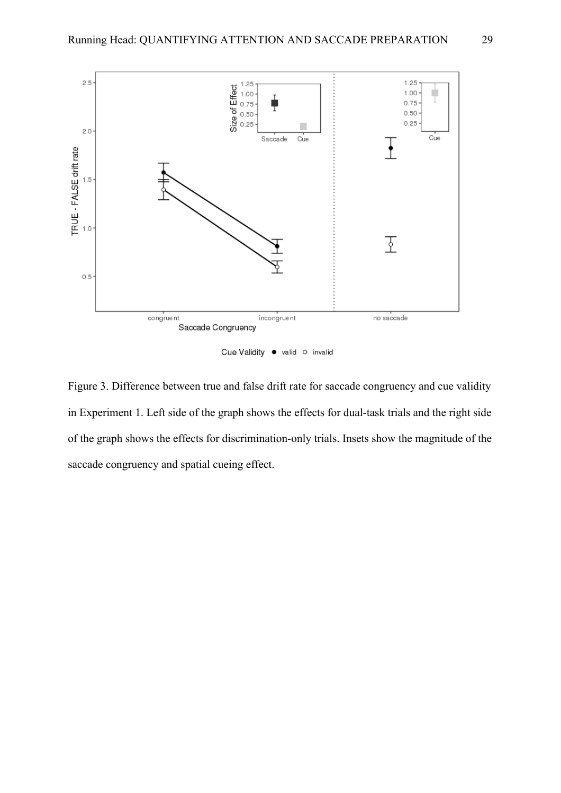

Cue Validity · valid o invalid

Figure 3. Difference between true and false drift rate for saccade congruency and cue validity in Experiment 1. Left side of the graph shows the effects for dual-task trials and the right side of the graph shows the effects for discrimination-only trials. Insets show the magnitude of the saccade congruency and spatial cueing effect.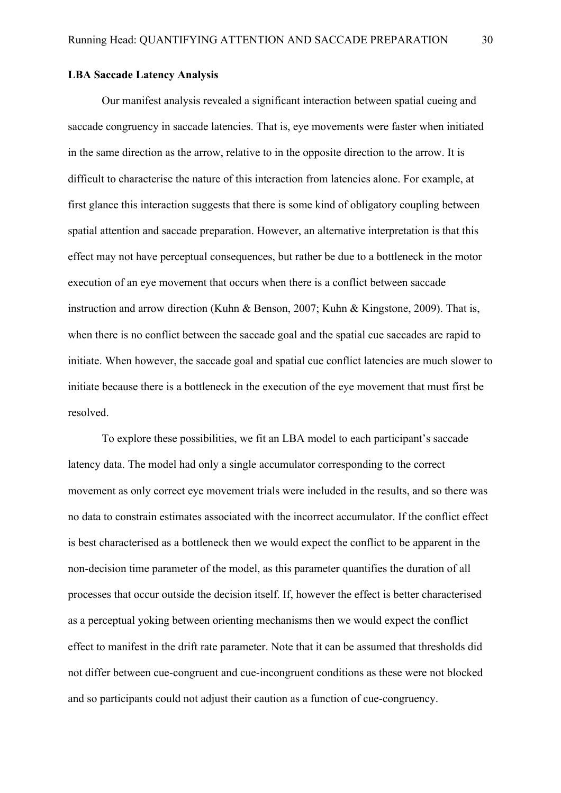## **LBA Saccade Latency Analysis**

Our manifest analysis revealed a significant interaction between spatial cueing and saccade congruency in saccade latencies. That is, eye movements were faster when initiated in the same direction as the arrow, relative to in the opposite direction to the arrow. It is difficult to characterise the nature of this interaction from latencies alone. For example, at first glance this interaction suggests that there is some kind of obligatory coupling between spatial attention and saccade preparation. However, an alternative interpretation is that this effect may not have perceptual consequences, but rather be due to a bottleneck in the motor execution of an eye movement that occurs when there is a conflict between saccade instruction and arrow direction (Kuhn & Benson, 2007; Kuhn & Kingstone, 2009). That is, when there is no conflict between the saccade goal and the spatial cue saccades are rapid to initiate. When however, the saccade goal and spatial cue conflict latencies are much slower to initiate because there is a bottleneck in the execution of the eye movement that must first be resolved.

To explore these possibilities, we fit an LBA model to each participant's saccade latency data. The model had only a single accumulator corresponding to the correct movement as only correct eye movement trials were included in the results, and so there was no data to constrain estimates associated with the incorrect accumulator. If the conflict effect is best characterised as a bottleneck then we would expect the conflict to be apparent in the non-decision time parameter of the model, as this parameter quantifies the duration of all processes that occur outside the decision itself. If, however the effect is better characterised as a perceptual yoking between orienting mechanisms then we would expect the conflict effect to manifest in the drift rate parameter. Note that it can be assumed that thresholds did not differ between cue-congruent and cue-incongruent conditions as these were not blocked and so participants could not adjust their caution as a function of cue-congruency.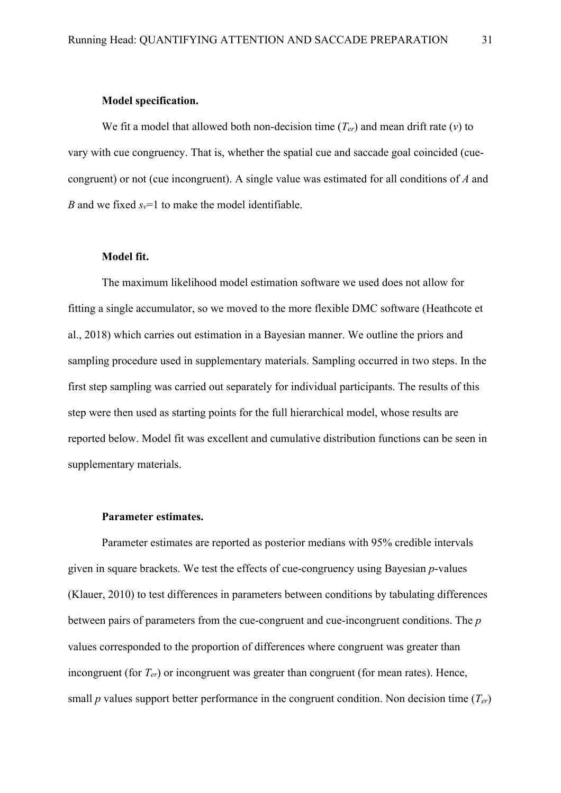#### **Model specification.**

We fit a model that allowed both non-decision time  $(T_{er})$  and mean drift rate  $(v)$  to vary with cue congruency. That is, whether the spatial cue and saccade goal coincided (cuecongruent) or not (cue incongruent). A single value was estimated for all conditions of *A* and *B* and we fixed  $s_v=1$  to make the model identifiable.

## **Model fit.**

The maximum likelihood model estimation software we used does not allow for fitting a single accumulator, so we moved to the more flexible DMC software (Heathcote et al., 2018) which carries out estimation in a Bayesian manner. We outline the priors and sampling procedure used in supplementary materials. Sampling occurred in two steps. In the first step sampling was carried out separately for individual participants. The results of this step were then used as starting points for the full hierarchical model, whose results are reported below. Model fit was excellent and cumulative distribution functions can be seen in supplementary materials.

# **Parameter estimates.**

Parameter estimates are reported as posterior medians with 95% credible intervals given in square brackets. We test the effects of cue-congruency using Bayesian *p*-values (Klauer, 2010) to test differences in parameters between conditions by tabulating differences between pairs of parameters from the cue-congruent and cue-incongruent conditions. The *p*  values corresponded to the proportion of differences where congruent was greater than incongruent (for  $T_{er}$ ) or incongruent was greater than congruent (for mean rates). Hence, small *p* values support better performance in the congruent condition. Non decision time  $(T_{er})$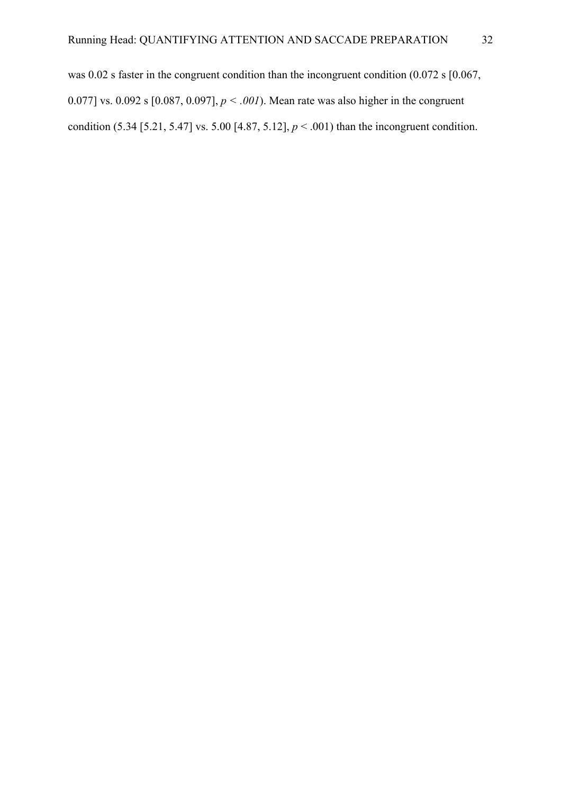was 0.02 s faster in the congruent condition than the incongruent condition (0.072 s [0.067, 0.077] vs. 0.092 s  $[0.087, 0.097]$ ,  $p < .001$ ). Mean rate was also higher in the congruent condition (5.34 [5.21, 5.47] vs. 5.00 [4.87, 5.12], *p* < .001) than the incongruent condition.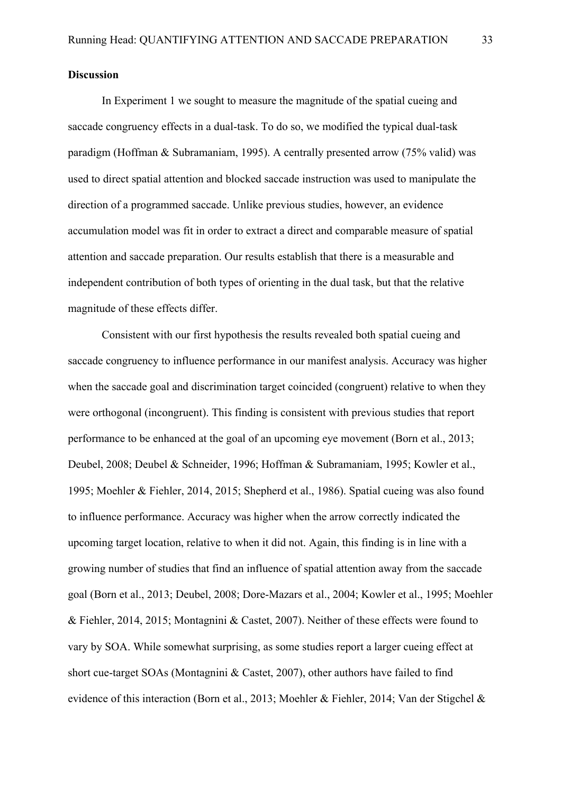## **Discussion**

In Experiment 1 we sought to measure the magnitude of the spatial cueing and saccade congruency effects in a dual-task. To do so, we modified the typical dual-task paradigm (Hoffman & Subramaniam, 1995). A centrally presented arrow (75% valid) was used to direct spatial attention and blocked saccade instruction was used to manipulate the direction of a programmed saccade. Unlike previous studies, however, an evidence accumulation model was fit in order to extract a direct and comparable measure of spatial attention and saccade preparation. Our results establish that there is a measurable and independent contribution of both types of orienting in the dual task, but that the relative magnitude of these effects differ.

Consistent with our first hypothesis the results revealed both spatial cueing and saccade congruency to influence performance in our manifest analysis. Accuracy was higher when the saccade goal and discrimination target coincided (congruent) relative to when they were orthogonal (incongruent). This finding is consistent with previous studies that report performance to be enhanced at the goal of an upcoming eye movement (Born et al., 2013; Deubel, 2008; Deubel & Schneider, 1996; Hoffman & Subramaniam, 1995; Kowler et al., 1995; Moehler & Fiehler, 2014, 2015; Shepherd et al., 1986). Spatial cueing was also found to influence performance. Accuracy was higher when the arrow correctly indicated the upcoming target location, relative to when it did not. Again, this finding is in line with a growing number of studies that find an influence of spatial attention away from the saccade goal (Born et al., 2013; Deubel, 2008; Dore-Mazars et al., 2004; Kowler et al., 1995; Moehler & Fiehler, 2014, 2015; Montagnini & Castet, 2007). Neither of these effects were found to vary by SOA. While somewhat surprising, as some studies report a larger cueing effect at short cue-target SOAs (Montagnini & Castet, 2007), other authors have failed to find evidence of this interaction (Born et al., 2013; Moehler & Fiehler, 2014; Van der Stigchel &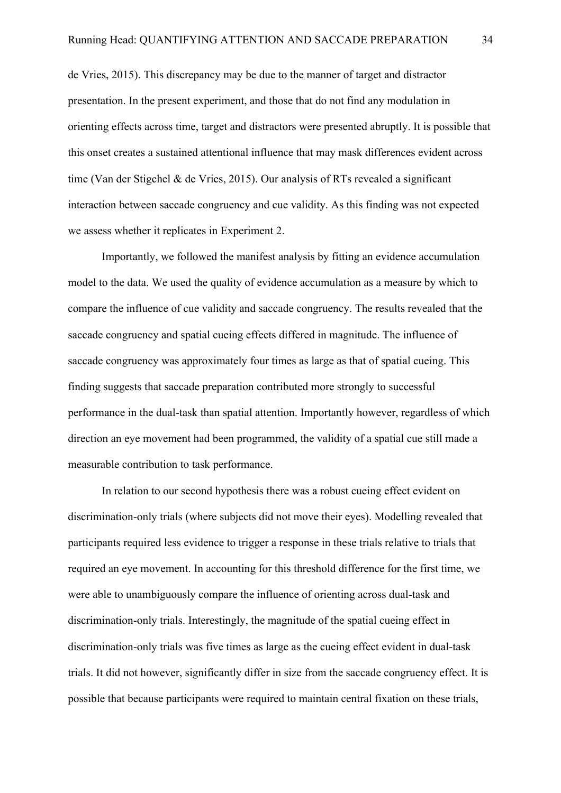de Vries, 2015). This discrepancy may be due to the manner of target and distractor presentation. In the present experiment, and those that do not find any modulation in orienting effects across time, target and distractors were presented abruptly. It is possible that this onset creates a sustained attentional influence that may mask differences evident across time (Van der Stigchel & de Vries, 2015). Our analysis of RTs revealed a significant interaction between saccade congruency and cue validity. As this finding was not expected we assess whether it replicates in Experiment 2.

Importantly, we followed the manifest analysis by fitting an evidence accumulation model to the data. We used the quality of evidence accumulation as a measure by which to compare the influence of cue validity and saccade congruency. The results revealed that the saccade congruency and spatial cueing effects differed in magnitude. The influence of saccade congruency was approximately four times as large as that of spatial cueing. This finding suggests that saccade preparation contributed more strongly to successful performance in the dual-task than spatial attention. Importantly however, regardless of which direction an eye movement had been programmed, the validity of a spatial cue still made a measurable contribution to task performance.

In relation to our second hypothesis there was a robust cueing effect evident on discrimination-only trials (where subjects did not move their eyes). Modelling revealed that participants required less evidence to trigger a response in these trials relative to trials that required an eye movement. In accounting for this threshold difference for the first time, we were able to unambiguously compare the influence of orienting across dual-task and discrimination-only trials. Interestingly, the magnitude of the spatial cueing effect in discrimination-only trials was five times as large as the cueing effect evident in dual-task trials. It did not however, significantly differ in size from the saccade congruency effect. It is possible that because participants were required to maintain central fixation on these trials,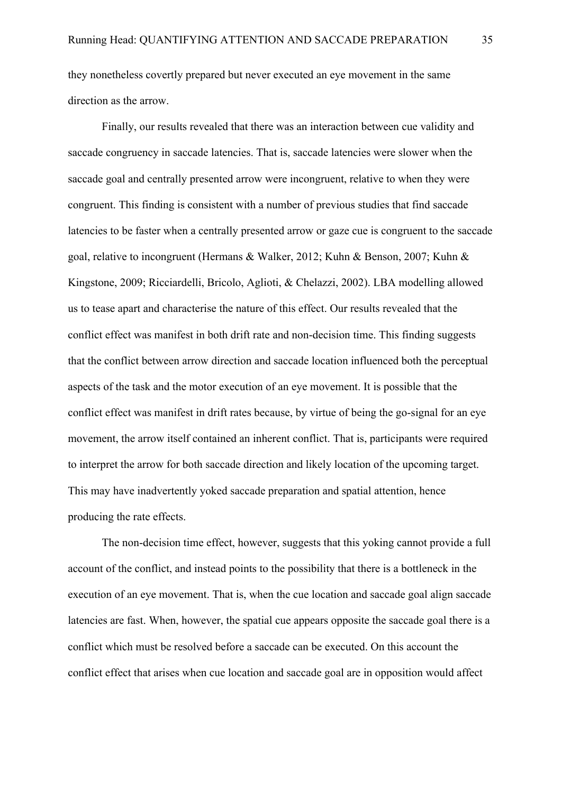they nonetheless covertly prepared but never executed an eye movement in the same direction as the arrow.

Finally, our results revealed that there was an interaction between cue validity and saccade congruency in saccade latencies. That is, saccade latencies were slower when the saccade goal and centrally presented arrow were incongruent, relative to when they were congruent. This finding is consistent with a number of previous studies that find saccade latencies to be faster when a centrally presented arrow or gaze cue is congruent to the saccade goal, relative to incongruent (Hermans & Walker, 2012; Kuhn & Benson, 2007; Kuhn & Kingstone, 2009; Ricciardelli, Bricolo, Aglioti, & Chelazzi, 2002). LBA modelling allowed us to tease apart and characterise the nature of this effect. Our results revealed that the conflict effect was manifest in both drift rate and non-decision time. This finding suggests that the conflict between arrow direction and saccade location influenced both the perceptual aspects of the task and the motor execution of an eye movement. It is possible that the conflict effect was manifest in drift rates because, by virtue of being the go-signal for an eye movement, the arrow itself contained an inherent conflict. That is, participants were required to interpret the arrow for both saccade direction and likely location of the upcoming target. This may have inadvertently yoked saccade preparation and spatial attention, hence producing the rate effects.

The non-decision time effect, however, suggests that this yoking cannot provide a full account of the conflict, and instead points to the possibility that there is a bottleneck in the execution of an eye movement. That is, when the cue location and saccade goal align saccade latencies are fast. When, however, the spatial cue appears opposite the saccade goal there is a conflict which must be resolved before a saccade can be executed. On this account the conflict effect that arises when cue location and saccade goal are in opposition would affect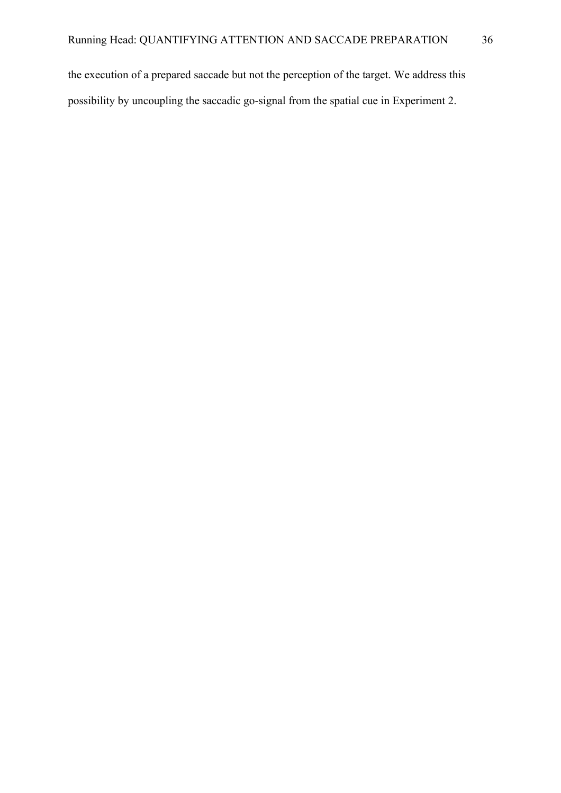the execution of a prepared saccade but not the perception of the target. We address this possibility by uncoupling the saccadic go-signal from the spatial cue in Experiment 2.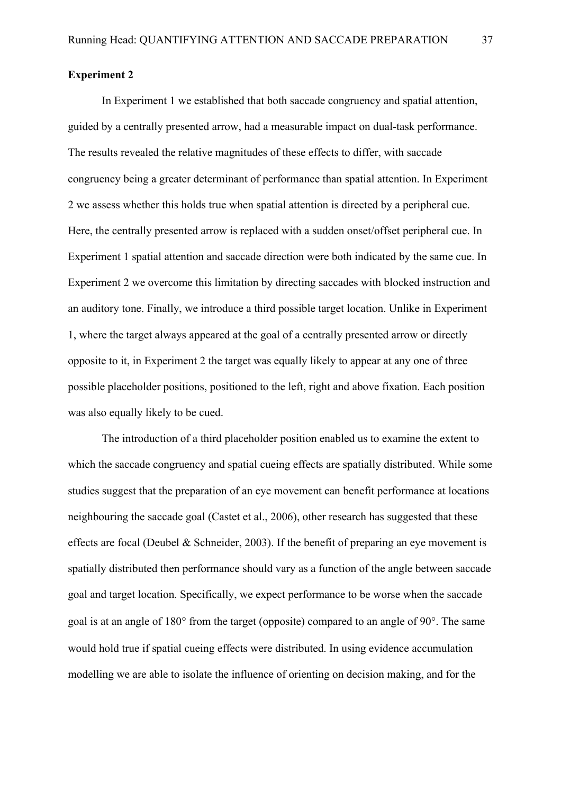## **Experiment 2**

In Experiment 1 we established that both saccade congruency and spatial attention, guided by a centrally presented arrow, had a measurable impact on dual-task performance. The results revealed the relative magnitudes of these effects to differ, with saccade congruency being a greater determinant of performance than spatial attention. In Experiment 2 we assess whether this holds true when spatial attention is directed by a peripheral cue. Here, the centrally presented arrow is replaced with a sudden onset/offset peripheral cue. In Experiment 1 spatial attention and saccade direction were both indicated by the same cue. In Experiment 2 we overcome this limitation by directing saccades with blocked instruction and an auditory tone. Finally, we introduce a third possible target location. Unlike in Experiment 1, where the target always appeared at the goal of a centrally presented arrow or directly opposite to it, in Experiment 2 the target was equally likely to appear at any one of three possible placeholder positions, positioned to the left, right and above fixation. Each position was also equally likely to be cued.

The introduction of a third placeholder position enabled us to examine the extent to which the saccade congruency and spatial cueing effects are spatially distributed. While some studies suggest that the preparation of an eye movement can benefit performance at locations neighbouring the saccade goal (Castet et al., 2006), other research has suggested that these effects are focal (Deubel & Schneider, 2003). If the benefit of preparing an eye movement is spatially distributed then performance should vary as a function of the angle between saccade goal and target location. Specifically, we expect performance to be worse when the saccade goal is at an angle of 180° from the target (opposite) compared to an angle of 90°. The same would hold true if spatial cueing effects were distributed. In using evidence accumulation modelling we are able to isolate the influence of orienting on decision making, and for the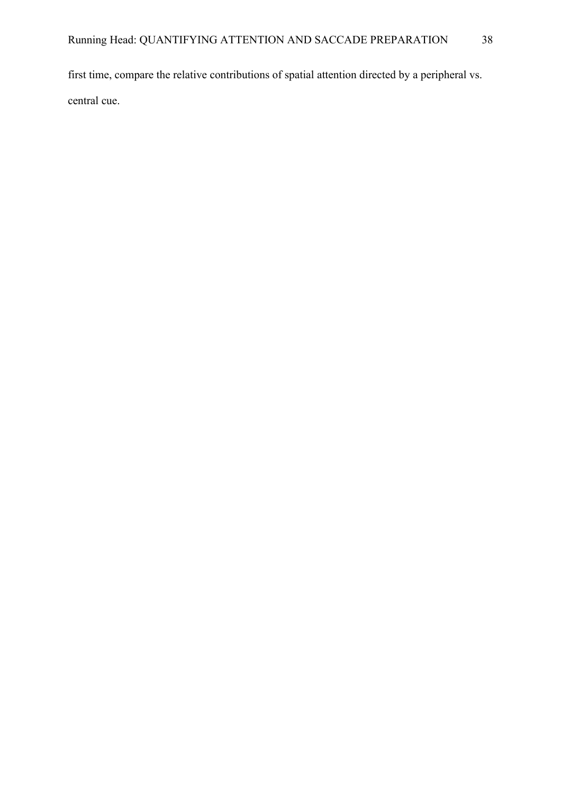first time, compare the relative contributions of spatial attention directed by a peripheral vs. central cue.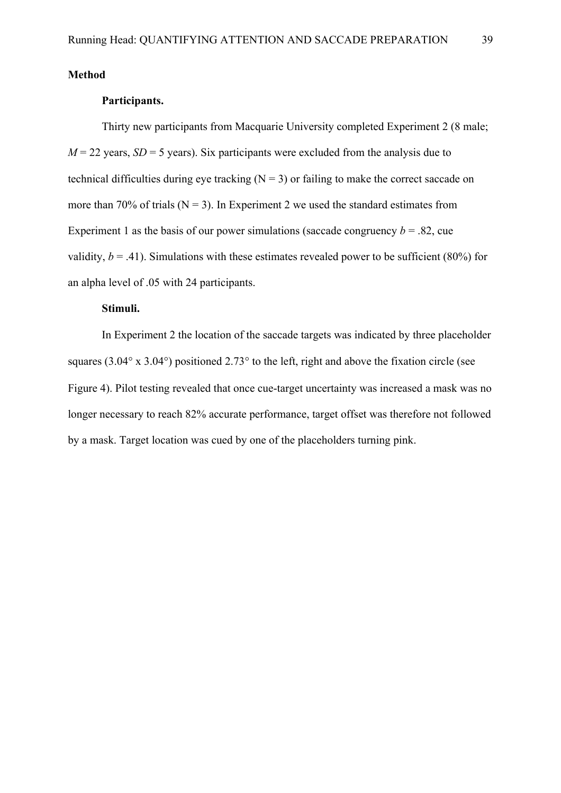**Method**

# **Participants.**

Thirty new participants from Macquarie University completed Experiment 2 (8 male;  $M = 22$  years,  $SD = 5$  years). Six participants were excluded from the analysis due to technical difficulties during eye tracking  $(N = 3)$  or failing to make the correct saccade on more than 70% of trials ( $N = 3$ ). In Experiment 2 we used the standard estimates from Experiment 1 as the basis of our power simulations (saccade congruency  $b = .82$ , cue validity,  $b = .41$ ). Simulations with these estimates revealed power to be sufficient (80%) for an alpha level of .05 with 24 participants.

# **Stimuli.**

In Experiment 2 the location of the saccade targets was indicated by three placeholder squares (3.04 $\degree$  x 3.04 $\degree$ ) positioned 2.73 $\degree$  to the left, right and above the fixation circle (see Figure 4). Pilot testing revealed that once cue-target uncertainty was increased a mask was no longer necessary to reach 82% accurate performance, target offset was therefore not followed by a mask. Target location was cued by one of the placeholders turning pink.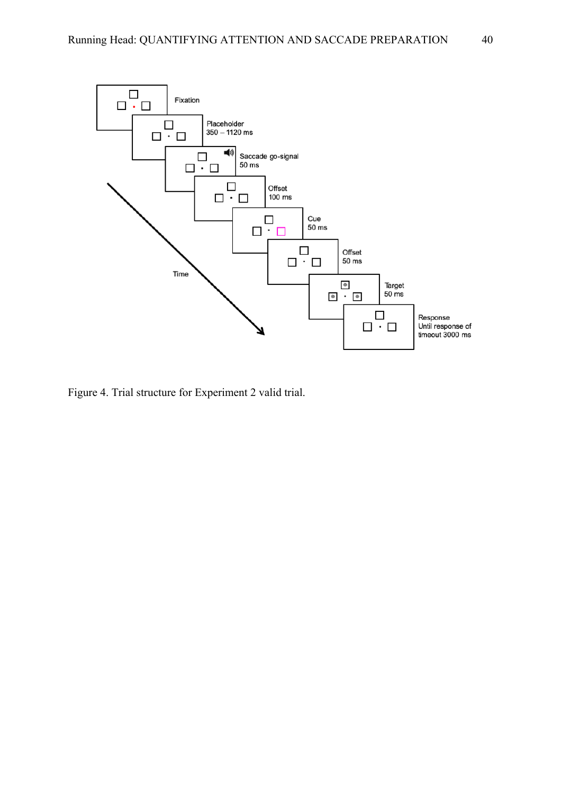

Figure 4. Trial structure for Experiment 2 valid trial.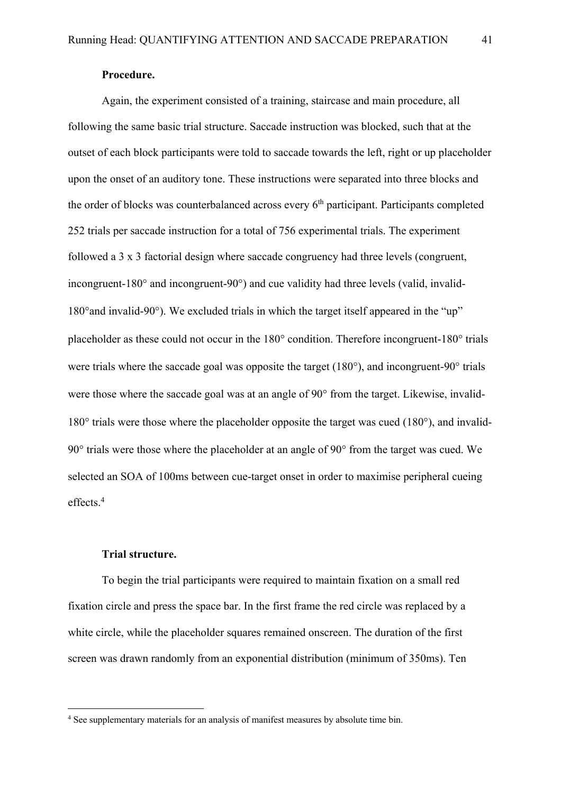Again, the experiment consisted of a training, staircase and main procedure, all following the same basic trial structure. Saccade instruction was blocked, such that at the outset of each block participants were told to saccade towards the left, right or up placeholder upon the onset of an auditory tone. These instructions were separated into three blocks and the order of blocks was counterbalanced across every  $6<sup>th</sup>$  participant. Participants completed 252 trials per saccade instruction for a total of 756 experimental trials. The experiment followed a 3 x 3 factorial design where saccade congruency had three levels (congruent, incongruent-180° and incongruent-90°) and cue validity had three levels (valid, invalid-180°and invalid-90°). We excluded trials in which the target itself appeared in the "up" placeholder as these could not occur in the 180° condition. Therefore incongruent-180° trials were trials where the saccade goal was opposite the target (180°), and incongruent-90° trials were those where the saccade goal was at an angle of 90° from the target. Likewise, invalid-180° trials were those where the placeholder opposite the target was cued (180°), and invalid-90° trials were those where the placeholder at an angle of 90° from the target was cued. We selected an SOA of 100ms between cue-target onset in order to maximise peripheral cueing effects. 4

# **Trial structure.**

To begin the trial participants were required to maintain fixation on a small red fixation circle and press the space bar. In the first frame the red circle was replaced by a white circle, while the placeholder squares remained onscreen. The duration of the first screen was drawn randomly from an exponential distribution (minimum of 350ms). Ten

<sup>&</sup>lt;sup>4</sup> See supplementary materials for an analysis of manifest measures by absolute time bin.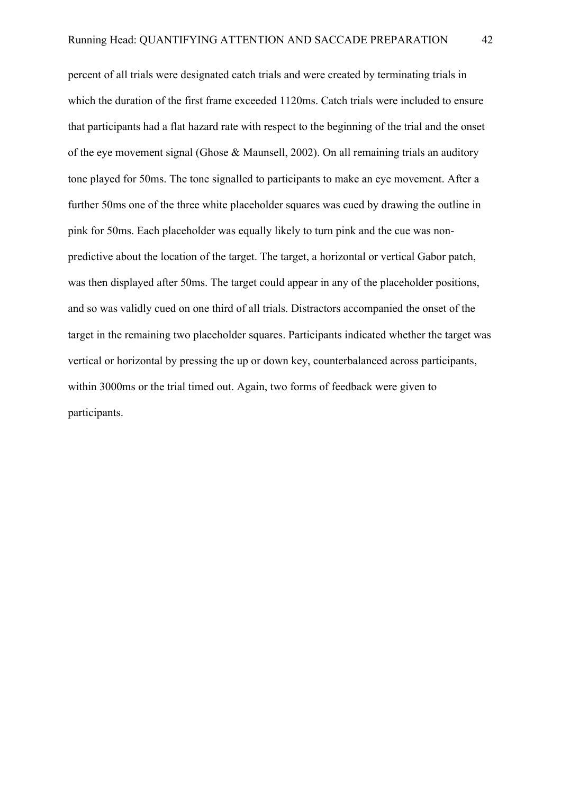percent of all trials were designated catch trials and were created by terminating trials in which the duration of the first frame exceeded 1120ms. Catch trials were included to ensure that participants had a flat hazard rate with respect to the beginning of the trial and the onset of the eye movement signal (Ghose & Maunsell, 2002). On all remaining trials an auditory tone played for 50ms. The tone signalled to participants to make an eye movement. After a further 50ms one of the three white placeholder squares was cued by drawing the outline in pink for 50ms. Each placeholder was equally likely to turn pink and the cue was nonpredictive about the location of the target. The target, a horizontal or vertical Gabor patch, was then displayed after 50ms. The target could appear in any of the placeholder positions, and so was validly cued on one third of all trials. Distractors accompanied the onset of the target in the remaining two placeholder squares. Participants indicated whether the target was vertical or horizontal by pressing the up or down key, counterbalanced across participants, within 3000ms or the trial timed out. Again, two forms of feedback were given to participants.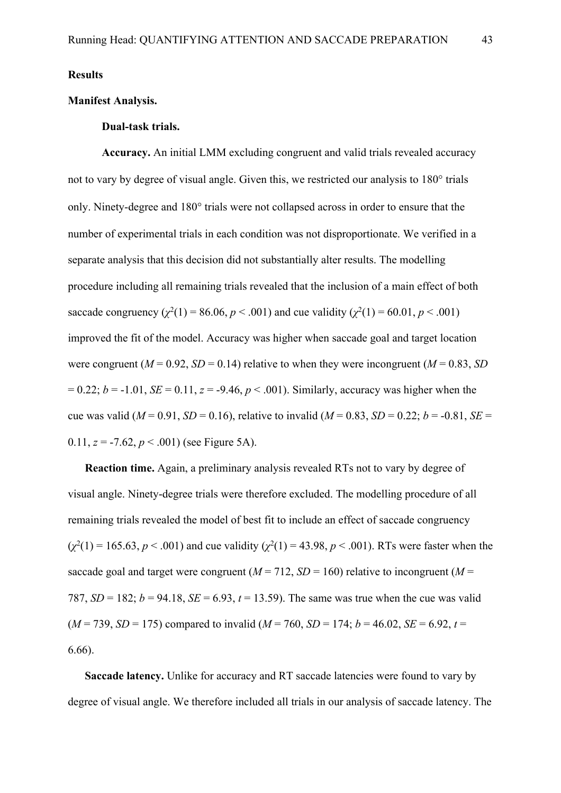**Results**

# **Manifest Analysis.**

## **Dual-task trials.**

**Accuracy.** An initial LMM excluding congruent and valid trials revealed accuracy not to vary by degree of visual angle. Given this, we restricted our analysis to 180° trials only. Ninety-degree and 180° trials were not collapsed across in order to ensure that the number of experimental trials in each condition was not disproportionate. We verified in a separate analysis that this decision did not substantially alter results. The modelling procedure including all remaining trials revealed that the inclusion of a main effect of both saccade congruency  $(\chi^2(1) = 86.06, p < .001)$  and cue validity  $(\chi^2(1) = 60.01, p < .001)$ improved the fit of the model. Accuracy was higher when saccade goal and target location were congruent ( $M = 0.92$ ,  $SD = 0.14$ ) relative to when they were incongruent ( $M = 0.83$ ,  $SD$ )  $= 0.22$ ;  $b = -1.01$ ,  $SE = 0.11$ ,  $z = -9.46$ ,  $p < .001$ ). Similarly, accuracy was higher when the cue was valid ( $M = 0.91$ ,  $SD = 0.16$ ), relative to invalid ( $M = 0.83$ ,  $SD = 0.22$ ;  $b = -0.81$ ,  $SE =$ 0.11,  $z = -7.62$ ,  $p < .001$ ) (see Figure 5A).

**Reaction time.** Again, a preliminary analysis revealed RTs not to vary by degree of visual angle. Ninety-degree trials were therefore excluded. The modelling procedure of all remaining trials revealed the model of best fit to include an effect of saccade congruency  $(\chi^2(1) = 165.63, p < .001)$  and cue validity  $(\chi^2(1) = 43.98, p < .001)$ . RTs were faster when the saccade goal and target were congruent  $(M = 712, SD = 160)$  relative to incongruent  $(M = 712, SD = 160)$ 787,  $SD = 182$ ;  $b = 94.18$ ,  $SE = 6.93$ ,  $t = 13.59$ ). The same was true when the cue was valid  $(M = 739, SD = 175)$  compared to invalid  $(M = 760, SD = 174; b = 46.02, SE = 6.92, t = 174$ 6.66).

**Saccade latency.** Unlike for accuracy and RT saccade latencies were found to vary by degree of visual angle. We therefore included all trials in our analysis of saccade latency. The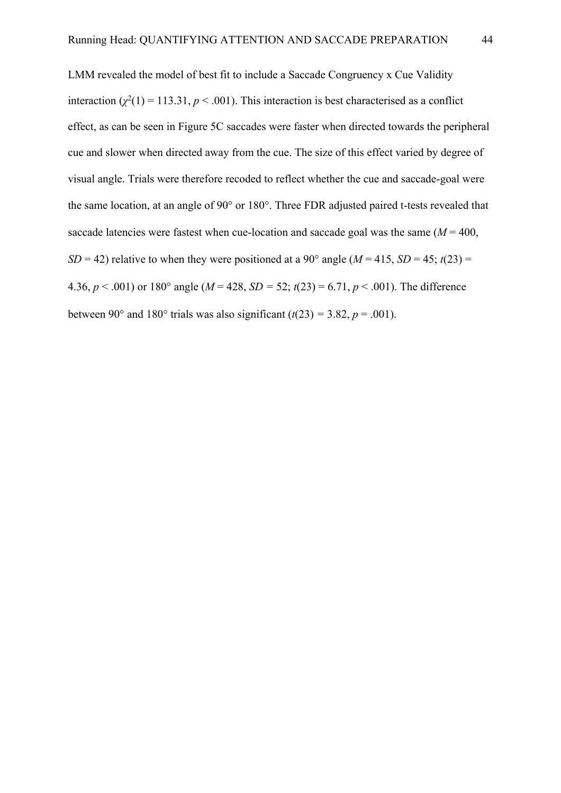LMM revealed the model of best fit to include a Saccade Congruency x Cue Validity interaction  $(\chi^2(1) = 113.31, p < .001)$ . This interaction is best characterised as a conflict effect, as can be seen in Figure 5C saccades were faster when directed towards the peripheral cue and slower when directed away from the cue. The size of this effect varied by degree of visual angle. Trials were therefore recoded to reflect whether the cue and saccade-goal were the same location, at an angle of 90° or 180°. Three FDR adjusted paired t-tests revealed that saccade latencies were fastest when cue-location and saccade goal was the same  $(M = 400,$ *SD* = 42) relative to when they were positioned at a 90° angle ( $M = 415$ ,  $SD = 45$ ;  $t(23) =$ 4.36,  $p < .001$ ) or 180° angle ( $M = 428$ ,  $SD = 52$ ;  $t(23) = 6.71$ ,  $p < .001$ ). The difference between 90° and 180° trials was also significant  $(t(23) = 3.82, p = .001)$ .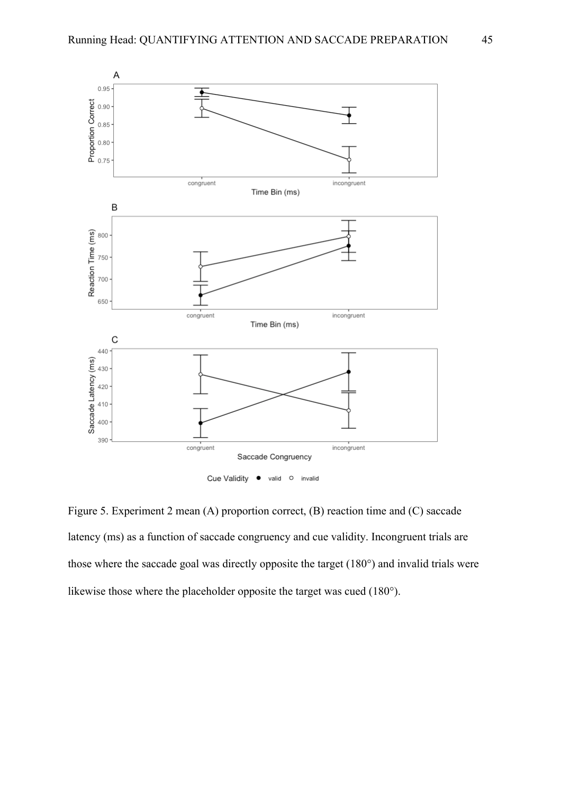

Figure 5. Experiment 2 mean (A) proportion correct, (B) reaction time and (C) saccade latency (ms) as a function of saccade congruency and cue validity. Incongruent trials are those where the saccade goal was directly opposite the target (180°) and invalid trials were likewise those where the placeholder opposite the target was cued (180°).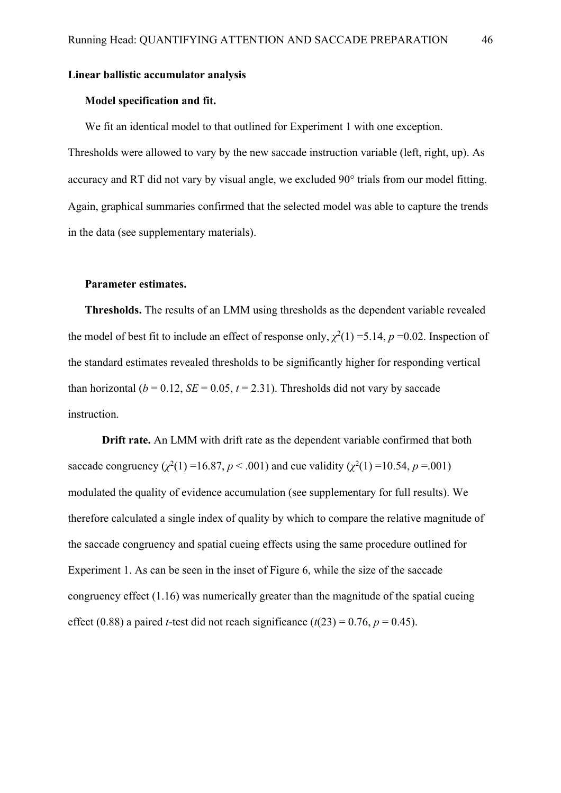### **Linear ballistic accumulator analysis**

### **Model specification and fit.**

We fit an identical model to that outlined for Experiment 1 with one exception.

Thresholds were allowed to vary by the new saccade instruction variable (left, right, up). As accuracy and RT did not vary by visual angle, we excluded 90° trials from our model fitting. Again, graphical summaries confirmed that the selected model was able to capture the trends in the data (see supplementary materials).

## **Parameter estimates.**

**Thresholds.** The results of an LMM using thresholds as the dependent variable revealed the model of best fit to include an effect of response only,  $\chi^2(1) = 5.14$ ,  $p = 0.02$ . Inspection of the standard estimates revealed thresholds to be significantly higher for responding vertical than horizontal ( $b = 0.12$ ,  $SE = 0.05$ ,  $t = 2.31$ ). Thresholds did not vary by saccade instruction.

**Drift rate.** An LMM with drift rate as the dependent variable confirmed that both saccade congruency  $(\chi^2(1) = 16.87, p < .001)$  and cue validity  $(\chi^2(1) = 10.54, p = .001)$ modulated the quality of evidence accumulation (see supplementary for full results). We therefore calculated a single index of quality by which to compare the relative magnitude of the saccade congruency and spatial cueing effects using the same procedure outlined for Experiment 1. As can be seen in the inset of Figure 6, while the size of the saccade congruency effect (1.16) was numerically greater than the magnitude of the spatial cueing effect (0.88) a paired *t*-test did not reach significance ( $t(23) = 0.76$ ,  $p = 0.45$ ).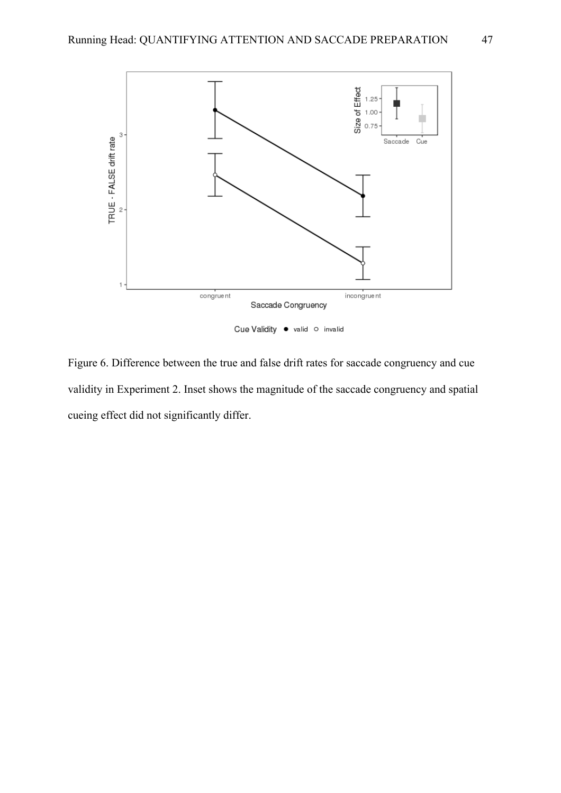

Figure 6. Difference between the true and false drift rates for saccade congruency and cue validity in Experiment 2. Inset shows the magnitude of the saccade congruency and spatial cueing effect did not significantly differ.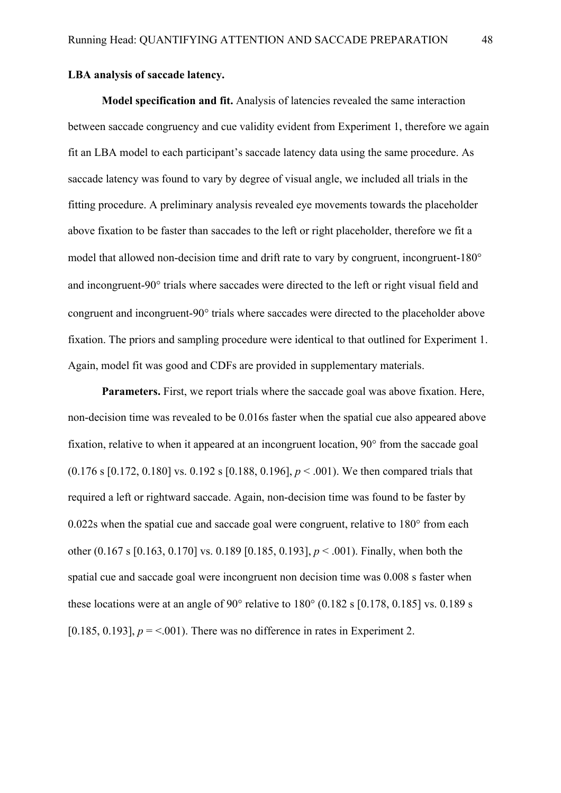# **LBA analysis of saccade latency.**

**Model specification and fit.** Analysis of latencies revealed the same interaction between saccade congruency and cue validity evident from Experiment 1, therefore we again fit an LBA model to each participant's saccade latency data using the same procedure. As saccade latency was found to vary by degree of visual angle, we included all trials in the fitting procedure. A preliminary analysis revealed eye movements towards the placeholder above fixation to be faster than saccades to the left or right placeholder, therefore we fit a model that allowed non-decision time and drift rate to vary by congruent, incongruent-180° and incongruent-90° trials where saccades were directed to the left or right visual field and congruent and incongruent-90° trials where saccades were directed to the placeholder above fixation. The priors and sampling procedure were identical to that outlined for Experiment 1. Again, model fit was good and CDFs are provided in supplementary materials.

**Parameters.** First, we report trials where the saccade goal was above fixation. Here, non-decision time was revealed to be 0.016s faster when the spatial cue also appeared above fixation, relative to when it appeared at an incongruent location, 90° from the saccade goal (0.176 s [0.172, 0.180] vs. 0.192 s [0.188, 0.196], *p* < .001). We then compared trials that required a left or rightward saccade. Again, non-decision time was found to be faster by 0.022s when the spatial cue and saccade goal were congruent, relative to 180° from each other (0.167 s [0.163, 0.170] vs. 0.189 [0.185, 0.193], *p* < .001). Finally, when both the spatial cue and saccade goal were incongruent non decision time was 0.008 s faster when these locations were at an angle of  $90^{\circ}$  relative to  $180^{\circ}$  (0.182 s  $[0.178, 0.185]$  vs. 0.189 s [0.185, 0.193],  $p = 0.001$ . There was no difference in rates in Experiment 2.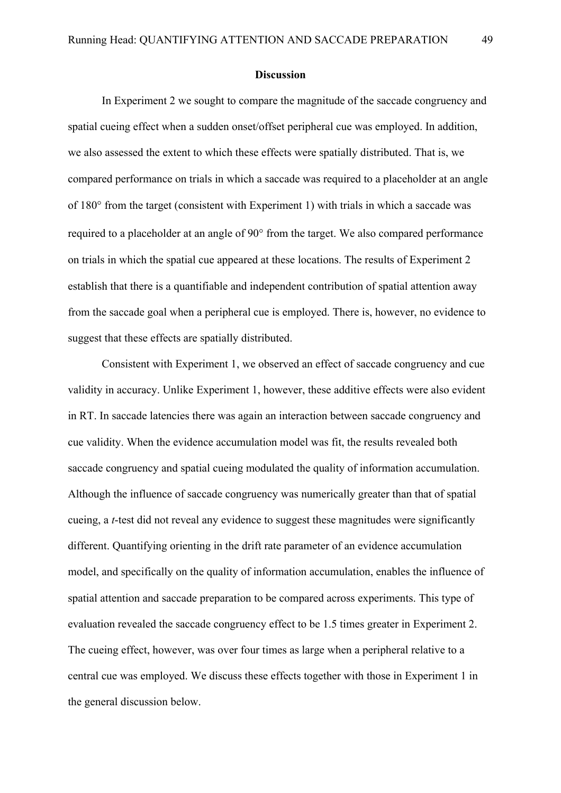#### **Discussion**

In Experiment 2 we sought to compare the magnitude of the saccade congruency and spatial cueing effect when a sudden onset/offset peripheral cue was employed. In addition, we also assessed the extent to which these effects were spatially distributed. That is, we compared performance on trials in which a saccade was required to a placeholder at an angle of 180° from the target (consistent with Experiment 1) with trials in which a saccade was required to a placeholder at an angle of 90° from the target. We also compared performance on trials in which the spatial cue appeared at these locations. The results of Experiment 2 establish that there is a quantifiable and independent contribution of spatial attention away from the saccade goal when a peripheral cue is employed. There is, however, no evidence to suggest that these effects are spatially distributed.

Consistent with Experiment 1, we observed an effect of saccade congruency and cue validity in accuracy. Unlike Experiment 1, however, these additive effects were also evident in RT. In saccade latencies there was again an interaction between saccade congruency and cue validity. When the evidence accumulation model was fit, the results revealed both saccade congruency and spatial cueing modulated the quality of information accumulation. Although the influence of saccade congruency was numerically greater than that of spatial cueing, a *t*-test did not reveal any evidence to suggest these magnitudes were significantly different. Quantifying orienting in the drift rate parameter of an evidence accumulation model, and specifically on the quality of information accumulation, enables the influence of spatial attention and saccade preparation to be compared across experiments. This type of evaluation revealed the saccade congruency effect to be 1.5 times greater in Experiment 2. The cueing effect, however, was over four times as large when a peripheral relative to a central cue was employed. We discuss these effects together with those in Experiment 1 in the general discussion below.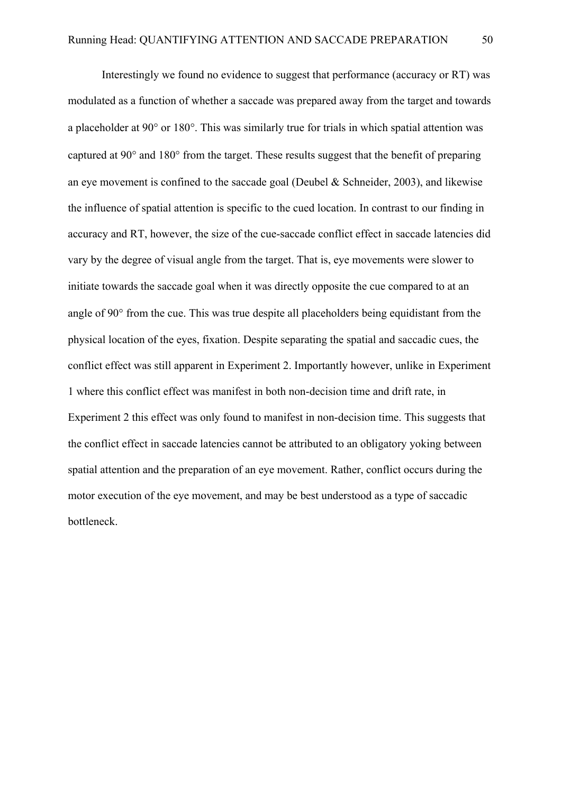Interestingly we found no evidence to suggest that performance (accuracy or RT) was modulated as a function of whether a saccade was prepared away from the target and towards a placeholder at 90° or 180°. This was similarly true for trials in which spatial attention was captured at 90° and 180° from the target. These results suggest that the benefit of preparing an eye movement is confined to the saccade goal (Deubel & Schneider, 2003), and likewise the influence of spatial attention is specific to the cued location. In contrast to our finding in accuracy and RT, however, the size of the cue-saccade conflict effect in saccade latencies did vary by the degree of visual angle from the target. That is, eye movements were slower to initiate towards the saccade goal when it was directly opposite the cue compared to at an angle of 90° from the cue. This was true despite all placeholders being equidistant from the physical location of the eyes, fixation. Despite separating the spatial and saccadic cues, the conflict effect was still apparent in Experiment 2. Importantly however, unlike in Experiment 1 where this conflict effect was manifest in both non-decision time and drift rate, in Experiment 2 this effect was only found to manifest in non-decision time. This suggests that the conflict effect in saccade latencies cannot be attributed to an obligatory yoking between spatial attention and the preparation of an eye movement. Rather, conflict occurs during the motor execution of the eye movement, and may be best understood as a type of saccadic bottleneck.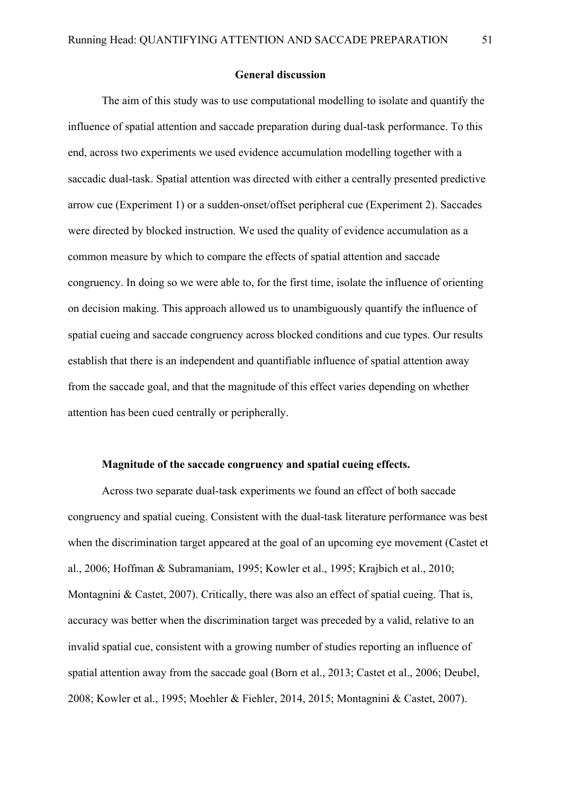### **General discussion**

The aim of this study was to use computational modelling to isolate and quantify the influence of spatial attention and saccade preparation during dual-task performance. To this end, across two experiments we used evidence accumulation modelling together with a saccadic dual-task. Spatial attention was directed with either a centrally presented predictive arrow cue (Experiment 1) or a sudden-onset/offset peripheral cue (Experiment 2). Saccades were directed by blocked instruction. We used the quality of evidence accumulation as a common measure by which to compare the effects of spatial attention and saccade congruency. In doing so we were able to, for the first time, isolate the influence of orienting on decision making. This approach allowed us to unambiguously quantify the influence of spatial cueing and saccade congruency across blocked conditions and cue types. Our results establish that there is an independent and quantifiable influence of spatial attention away from the saccade goal, and that the magnitude of this effect varies depending on whether attention has been cued centrally or peripherally.

## **Magnitude of the saccade congruency and spatial cueing effects.**

Across two separate dual-task experiments we found an effect of both saccade congruency and spatial cueing. Consistent with the dual-task literature performance was best when the discrimination target appeared at the goal of an upcoming eye movement (Castet et al., 2006; Hoffman & Subramaniam, 1995; Kowler et al., 1995; Krajbich et al., 2010; Montagnini & Castet, 2007). Critically, there was also an effect of spatial cueing. That is, accuracy was better when the discrimination target was preceded by a valid, relative to an invalid spatial cue, consistent with a growing number of studies reporting an influence of spatial attention away from the saccade goal (Born et al., 2013; Castet et al., 2006; Deubel, 2008; Kowler et al., 1995; Moehler & Fiehler, 2014, 2015; Montagnini & Castet, 2007).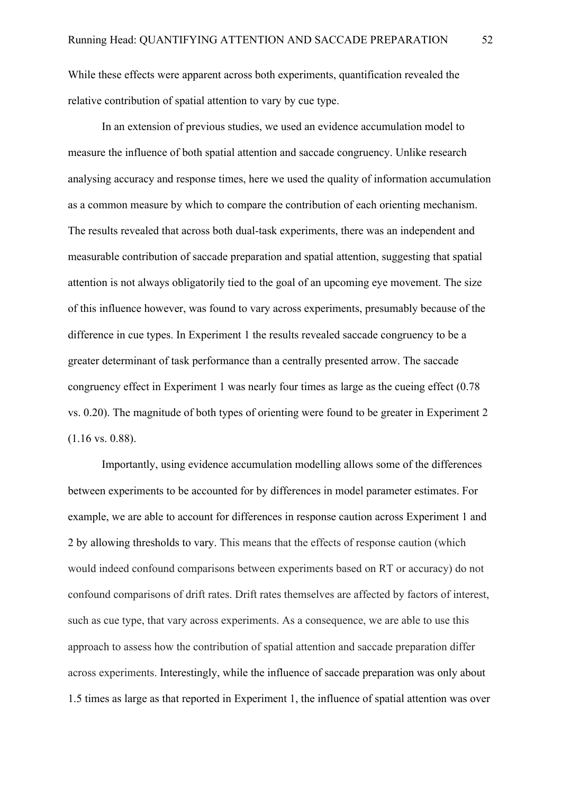While these effects were apparent across both experiments, quantification revealed the relative contribution of spatial attention to vary by cue type.

In an extension of previous studies, we used an evidence accumulation model to measure the influence of both spatial attention and saccade congruency. Unlike research analysing accuracy and response times, here we used the quality of information accumulation as a common measure by which to compare the contribution of each orienting mechanism. The results revealed that across both dual-task experiments, there was an independent and measurable contribution of saccade preparation and spatial attention, suggesting that spatial attention is not always obligatorily tied to the goal of an upcoming eye movement. The size of this influence however, was found to vary across experiments, presumably because of the difference in cue types. In Experiment 1 the results revealed saccade congruency to be a greater determinant of task performance than a centrally presented arrow. The saccade congruency effect in Experiment 1 was nearly four times as large as the cueing effect (0.78 vs. 0.20). The magnitude of both types of orienting were found to be greater in Experiment 2 (1.16 vs. 0.88).

Importantly, using evidence accumulation modelling allows some of the differences between experiments to be accounted for by differences in model parameter estimates. For example, we are able to account for differences in response caution across Experiment 1 and 2 by allowing thresholds to vary. This means that the effects of response caution (which would indeed confound comparisons between experiments based on RT or accuracy) do not confound comparisons of drift rates. Drift rates themselves are affected by factors of interest, such as cue type, that vary across experiments. As a consequence, we are able to use this approach to assess how the contribution of spatial attention and saccade preparation differ across experiments. Interestingly, while the influence of saccade preparation was only about 1.5 times as large as that reported in Experiment 1, the influence of spatial attention was over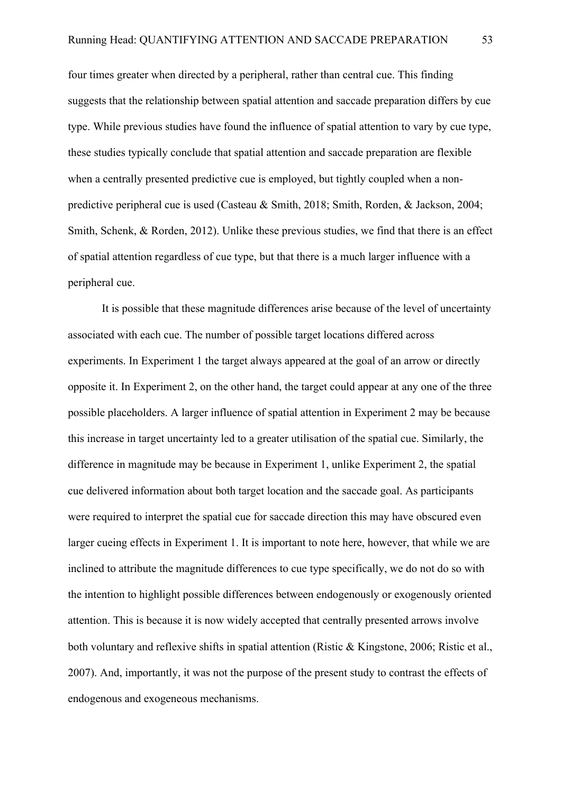four times greater when directed by a peripheral, rather than central cue. This finding suggests that the relationship between spatial attention and saccade preparation differs by cue type. While previous studies have found the influence of spatial attention to vary by cue type, these studies typically conclude that spatial attention and saccade preparation are flexible when a centrally presented predictive cue is employed, but tightly coupled when a nonpredictive peripheral cue is used (Casteau & Smith, 2018; Smith, Rorden, & Jackson, 2004; Smith, Schenk, & Rorden, 2012). Unlike these previous studies, we find that there is an effect of spatial attention regardless of cue type, but that there is a much larger influence with a peripheral cue.

It is possible that these magnitude differences arise because of the level of uncertainty associated with each cue. The number of possible target locations differed across experiments. In Experiment 1 the target always appeared at the goal of an arrow or directly opposite it. In Experiment 2, on the other hand, the target could appear at any one of the three possible placeholders. A larger influence of spatial attention in Experiment 2 may be because this increase in target uncertainty led to a greater utilisation of the spatial cue. Similarly, the difference in magnitude may be because in Experiment 1, unlike Experiment 2, the spatial cue delivered information about both target location and the saccade goal. As participants were required to interpret the spatial cue for saccade direction this may have obscured even larger cueing effects in Experiment 1. It is important to note here, however, that while we are inclined to attribute the magnitude differences to cue type specifically, we do not do so with the intention to highlight possible differences between endogenously or exogenously oriented attention. This is because it is now widely accepted that centrally presented arrows involve both voluntary and reflexive shifts in spatial attention (Ristic & Kingstone, 2006; Ristic et al., 2007). And, importantly, it was not the purpose of the present study to contrast the effects of endogenous and exogeneous mechanisms.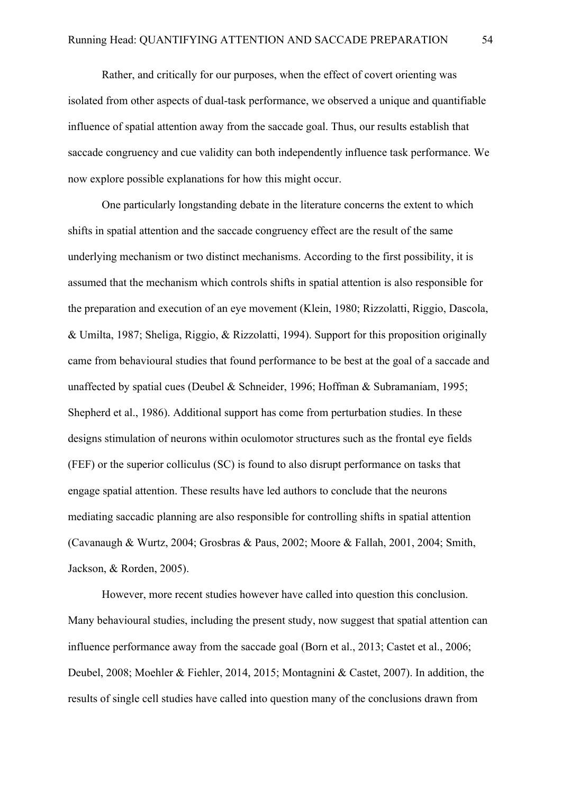Rather, and critically for our purposes, when the effect of covert orienting was isolated from other aspects of dual-task performance, we observed a unique and quantifiable influence of spatial attention away from the saccade goal. Thus, our results establish that saccade congruency and cue validity can both independently influence task performance. We now explore possible explanations for how this might occur.

One particularly longstanding debate in the literature concerns the extent to which shifts in spatial attention and the saccade congruency effect are the result of the same underlying mechanism or two distinct mechanisms. According to the first possibility, it is assumed that the mechanism which controls shifts in spatial attention is also responsible for the preparation and execution of an eye movement (Klein, 1980; Rizzolatti, Riggio, Dascola, & Umilta, 1987; Sheliga, Riggio, & Rizzolatti, 1994). Support for this proposition originally came from behavioural studies that found performance to be best at the goal of a saccade and unaffected by spatial cues (Deubel & Schneider, 1996; Hoffman & Subramaniam, 1995; Shepherd et al., 1986). Additional support has come from perturbation studies. In these designs stimulation of neurons within oculomotor structures such as the frontal eye fields (FEF) or the superior colliculus (SC) is found to also disrupt performance on tasks that engage spatial attention. These results have led authors to conclude that the neurons mediating saccadic planning are also responsible for controlling shifts in spatial attention (Cavanaugh & Wurtz, 2004; Grosbras & Paus, 2002; Moore & Fallah, 2001, 2004; Smith, Jackson, & Rorden, 2005).

However, more recent studies however have called into question this conclusion. Many behavioural studies, including the present study, now suggest that spatial attention can influence performance away from the saccade goal (Born et al., 2013; Castet et al., 2006; Deubel, 2008; Moehler & Fiehler, 2014, 2015; Montagnini & Castet, 2007). In addition, the results of single cell studies have called into question many of the conclusions drawn from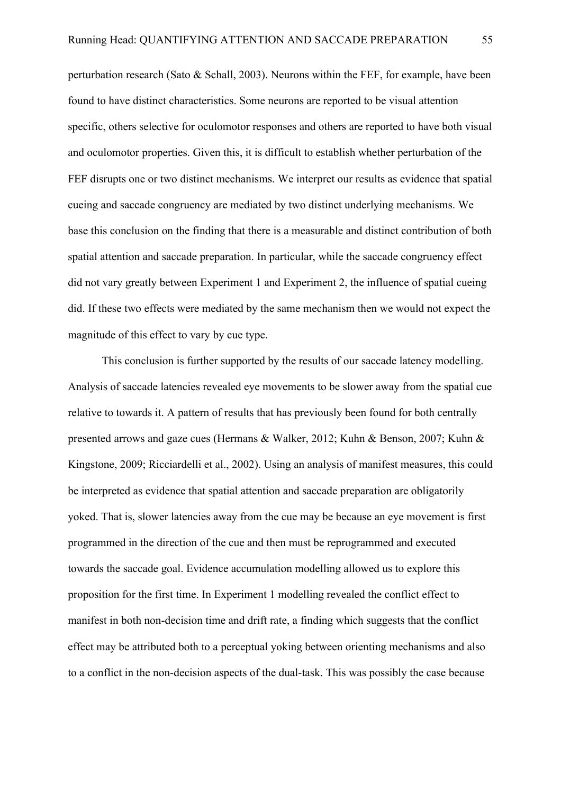perturbation research (Sato & Schall, 2003). Neurons within the FEF, for example, have been found to have distinct characteristics. Some neurons are reported to be visual attention specific, others selective for oculomotor responses and others are reported to have both visual and oculomotor properties. Given this, it is difficult to establish whether perturbation of the FEF disrupts one or two distinct mechanisms. We interpret our results as evidence that spatial cueing and saccade congruency are mediated by two distinct underlying mechanisms. We base this conclusion on the finding that there is a measurable and distinct contribution of both spatial attention and saccade preparation. In particular, while the saccade congruency effect did not vary greatly between Experiment 1 and Experiment 2, the influence of spatial cueing did. If these two effects were mediated by the same mechanism then we would not expect the magnitude of this effect to vary by cue type.

This conclusion is further supported by the results of our saccade latency modelling. Analysis of saccade latencies revealed eye movements to be slower away from the spatial cue relative to towards it. A pattern of results that has previously been found for both centrally presented arrows and gaze cues (Hermans & Walker, 2012; Kuhn & Benson, 2007; Kuhn & Kingstone, 2009; Ricciardelli et al., 2002). Using an analysis of manifest measures, this could be interpreted as evidence that spatial attention and saccade preparation are obligatorily yoked. That is, slower latencies away from the cue may be because an eye movement is first programmed in the direction of the cue and then must be reprogrammed and executed towards the saccade goal. Evidence accumulation modelling allowed us to explore this proposition for the first time. In Experiment 1 modelling revealed the conflict effect to manifest in both non-decision time and drift rate, a finding which suggests that the conflict effect may be attributed both to a perceptual yoking between orienting mechanisms and also to a conflict in the non-decision aspects of the dual-task. This was possibly the case because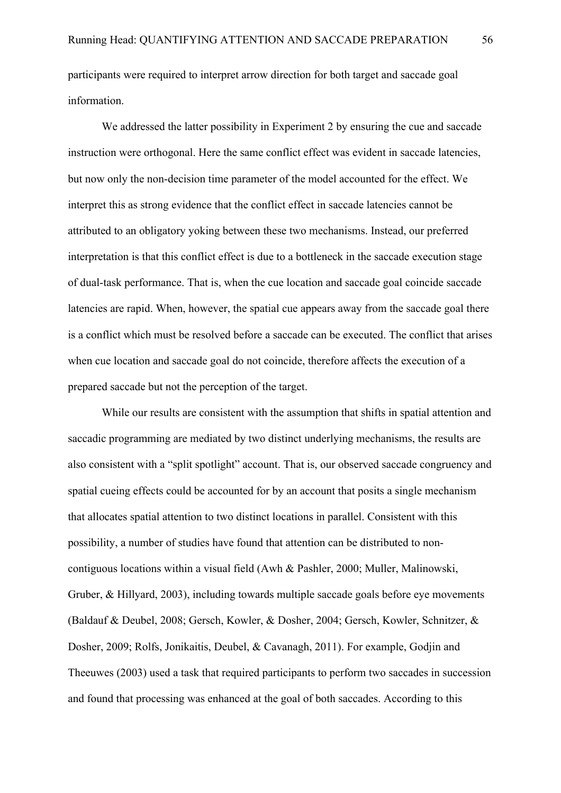participants were required to interpret arrow direction for both target and saccade goal information.

We addressed the latter possibility in Experiment 2 by ensuring the cue and saccade instruction were orthogonal. Here the same conflict effect was evident in saccade latencies, but now only the non-decision time parameter of the model accounted for the effect. We interpret this as strong evidence that the conflict effect in saccade latencies cannot be attributed to an obligatory yoking between these two mechanisms. Instead, our preferred interpretation is that this conflict effect is due to a bottleneck in the saccade execution stage of dual-task performance. That is, when the cue location and saccade goal coincide saccade latencies are rapid. When, however, the spatial cue appears away from the saccade goal there is a conflict which must be resolved before a saccade can be executed. The conflict that arises when cue location and saccade goal do not coincide, therefore affects the execution of a prepared saccade but not the perception of the target.

While our results are consistent with the assumption that shifts in spatial attention and saccadic programming are mediated by two distinct underlying mechanisms, the results are also consistent with a "split spotlight" account. That is, our observed saccade congruency and spatial cueing effects could be accounted for by an account that posits a single mechanism that allocates spatial attention to two distinct locations in parallel. Consistent with this possibility, a number of studies have found that attention can be distributed to noncontiguous locations within a visual field (Awh & Pashler, 2000; Muller, Malinowski, Gruber, & Hillyard, 2003), including towards multiple saccade goals before eye movements (Baldauf & Deubel, 2008; Gersch, Kowler, & Dosher, 2004; Gersch, Kowler, Schnitzer, & Dosher, 2009; Rolfs, Jonikaitis, Deubel, & Cavanagh, 2011). For example, Godjin and Theeuwes (2003) used a task that required participants to perform two saccades in succession and found that processing was enhanced at the goal of both saccades. According to this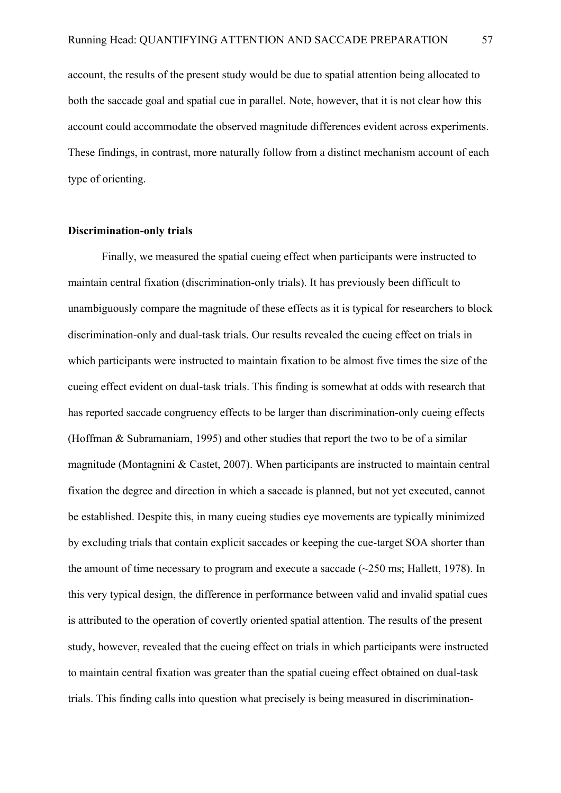account, the results of the present study would be due to spatial attention being allocated to both the saccade goal and spatial cue in parallel. Note, however, that it is not clear how this account could accommodate the observed magnitude differences evident across experiments. These findings, in contrast, more naturally follow from a distinct mechanism account of each type of orienting.

## **Discrimination-only trials**

Finally, we measured the spatial cueing effect when participants were instructed to maintain central fixation (discrimination-only trials). It has previously been difficult to unambiguously compare the magnitude of these effects as it is typical for researchers to block discrimination-only and dual-task trials. Our results revealed the cueing effect on trials in which participants were instructed to maintain fixation to be almost five times the size of the cueing effect evident on dual-task trials. This finding is somewhat at odds with research that has reported saccade congruency effects to be larger than discrimination-only cueing effects (Hoffman & Subramaniam, 1995) and other studies that report the two to be of a similar magnitude (Montagnini & Castet, 2007). When participants are instructed to maintain central fixation the degree and direction in which a saccade is planned, but not yet executed, cannot be established. Despite this, in many cueing studies eye movements are typically minimized by excluding trials that contain explicit saccades or keeping the cue-target SOA shorter than the amount of time necessary to program and execute a saccade  $(\sim 250 \text{ ms}; \text{Hallett}, 1978)$ . In this very typical design, the difference in performance between valid and invalid spatial cues is attributed to the operation of covertly oriented spatial attention. The results of the present study, however, revealed that the cueing effect on trials in which participants were instructed to maintain central fixation was greater than the spatial cueing effect obtained on dual-task trials. This finding calls into question what precisely is being measured in discrimination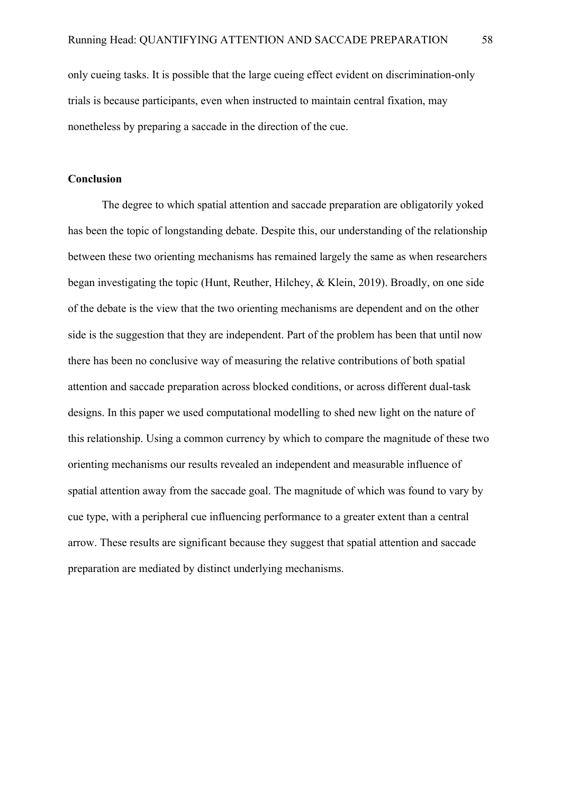only cueing tasks. It is possible that the large cueing effect evident on discrimination-only trials is because participants, even when instructed to maintain central fixation, may nonetheless by preparing a saccade in the direction of the cue.

## **Conclusion**

The degree to which spatial attention and saccade preparation are obligatorily yoked has been the topic of longstanding debate. Despite this, our understanding of the relationship between these two orienting mechanisms has remained largely the same as when researchers began investigating the topic (Hunt, Reuther, Hilchey, & Klein, 2019). Broadly, on one side of the debate is the view that the two orienting mechanisms are dependent and on the other side is the suggestion that they are independent. Part of the problem has been that until now there has been no conclusive way of measuring the relative contributions of both spatial attention and saccade preparation across blocked conditions, or across different dual-task designs. In this paper we used computational modelling to shed new light on the nature of this relationship. Using a common currency by which to compare the magnitude of these two orienting mechanisms our results revealed an independent and measurable influence of spatial attention away from the saccade goal. The magnitude of which was found to vary by cue type, with a peripheral cue influencing performance to a greater extent than a central arrow. These results are significant because they suggest that spatial attention and saccade preparation are mediated by distinct underlying mechanisms.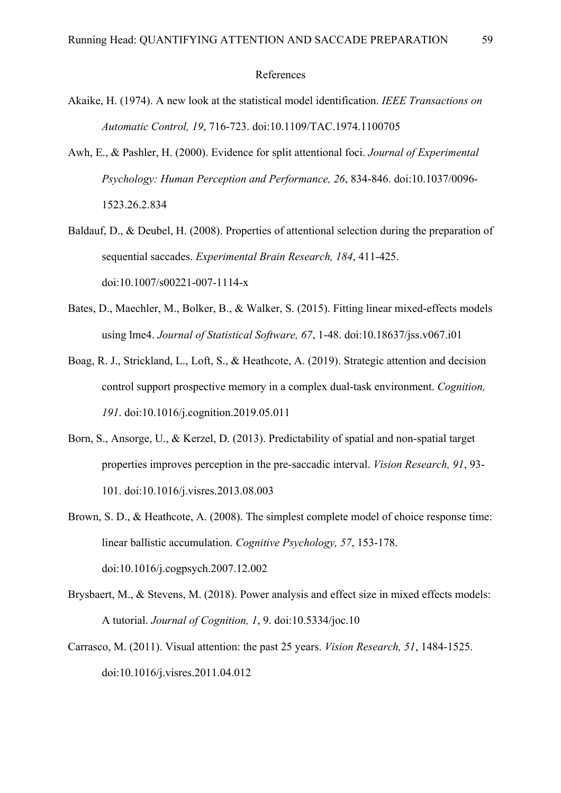#### References

- Akaike, H. (1974). A new look at the statistical model identification. *IEEE Transactions on Automatic Control, 19*, 716-723. doi:10.1109/TAC.1974.1100705
- Awh, E., & Pashler, H. (2000). Evidence for split attentional foci. *Journal of Experimental Psychology: Human Perception and Performance, 26*, 834-846. doi:10.1037/0096- 1523.26.2.834
- Baldauf, D., & Deubel, H. (2008). Properties of attentional selection during the preparation of sequential saccades. *Experimental Brain Research, 184*, 411-425. doi:10.1007/s00221-007-1114-x
- Bates, D., Maechler, M., Bolker, B., & Walker, S. (2015). Fitting linear mixed-effects models using lme4. *Journal of Statistical Software, 67*, 1-48. doi:10.18637/jss.v067.i01
- Boag, R. J., Strickland, L., Loft, S., & Heathcote, A. (2019). Strategic attention and decision control support prospective memory in a complex dual-task environment. *Cognition, 191*. doi:10.1016/j.cognition.2019.05.011
- Born, S., Ansorge, U., & Kerzel, D. (2013). Predictability of spatial and non-spatial target properties improves perception in the pre-saccadic interval. *Vision Research, 91*, 93- 101. doi:10.1016/j.visres.2013.08.003
- Brown, S. D., & Heathcote, A. (2008). The simplest complete model of choice response time: linear ballistic accumulation. *Cognitive Psychology, 57*, 153-178. doi:10.1016/j.cogpsych.2007.12.002
- Brysbaert, M., & Stevens, M. (2018). Power analysis and effect size in mixed effects models: A tutorial. *Journal of Cognition, 1*, 9. doi:10.5334/joc.10
- Carrasco, M. (2011). Visual attention: the past 25 years. *Vision Research, 51*, 1484-1525. doi:10.1016/j.visres.2011.04.012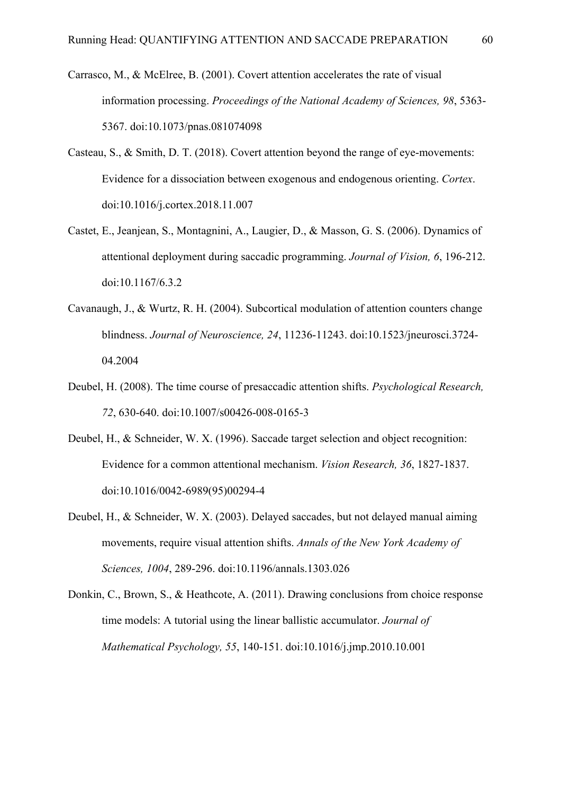- Carrasco, M., & McElree, B. (2001). Covert attention accelerates the rate of visual information processing. *Proceedings of the National Academy of Sciences, 98*, 5363- 5367. doi:10.1073/pnas.081074098
- Casteau, S., & Smith, D. T. (2018). Covert attention beyond the range of eye-movements: Evidence for a dissociation between exogenous and endogenous orienting. *Cortex*. doi:10.1016/j.cortex.2018.11.007
- Castet, E., Jeanjean, S., Montagnini, A., Laugier, D., & Masson, G. S. (2006). Dynamics of attentional deployment during saccadic programming. *Journal of Vision, 6*, 196-212. doi:10.1167/6.3.2
- Cavanaugh, J., & Wurtz, R. H. (2004). Subcortical modulation of attention counters change blindness. *Journal of Neuroscience, 24*, 11236-11243. doi:10.1523/jneurosci.3724- 04.2004
- Deubel, H. (2008). The time course of presaccadic attention shifts. *Psychological Research, 72*, 630-640. doi:10.1007/s00426-008-0165-3
- Deubel, H., & Schneider, W. X. (1996). Saccade target selection and object recognition: Evidence for a common attentional mechanism. *Vision Research, 36*, 1827-1837. doi:10.1016/0042-6989(95)00294-4
- Deubel, H., & Schneider, W. X. (2003). Delayed saccades, but not delayed manual aiming movements, require visual attention shifts. *Annals of the New York Academy of Sciences, 1004*, 289-296. doi:10.1196/annals.1303.026
- Donkin, C., Brown, S., & Heathcote, A. (2011). Drawing conclusions from choice response time models: A tutorial using the linear ballistic accumulator. *Journal of Mathematical Psychology, 55*, 140-151. doi:10.1016/j.jmp.2010.10.001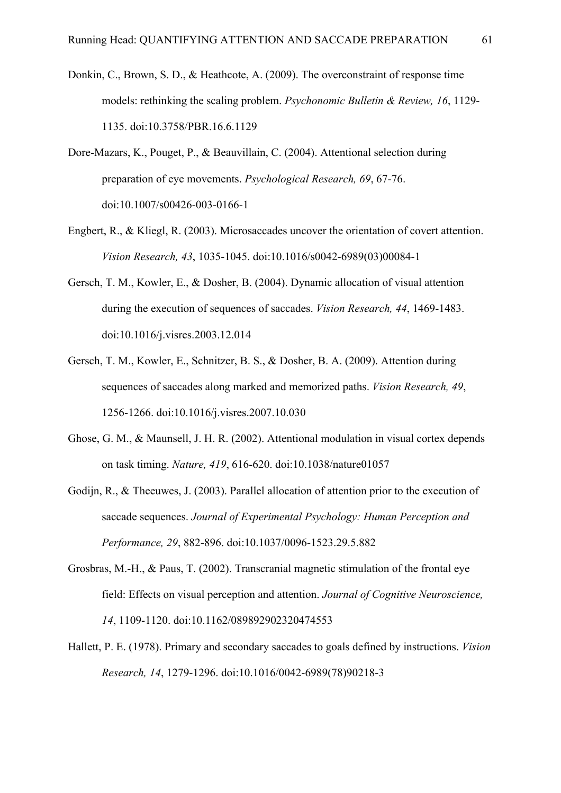- Donkin, C., Brown, S. D., & Heathcote, A. (2009). The overconstraint of response time models: rethinking the scaling problem. *Psychonomic Bulletin & Review, 16*, 1129- 1135. doi:10.3758/PBR.16.6.1129
- Dore-Mazars, K., Pouget, P., & Beauvillain, C. (2004). Attentional selection during preparation of eye movements. *Psychological Research, 69*, 67-76. doi:10.1007/s00426-003-0166-1
- Engbert, R., & Kliegl, R. (2003). Microsaccades uncover the orientation of covert attention. *Vision Research, 43*, 1035-1045. doi:10.1016/s0042-6989(03)00084-1
- Gersch, T. M., Kowler, E., & Dosher, B. (2004). Dynamic allocation of visual attention during the execution of sequences of saccades. *Vision Research, 44*, 1469-1483. doi:10.1016/j.visres.2003.12.014
- Gersch, T. M., Kowler, E., Schnitzer, B. S., & Dosher, B. A. (2009). Attention during sequences of saccades along marked and memorized paths. *Vision Research, 49*, 1256-1266. doi:10.1016/j.visres.2007.10.030
- Ghose, G. M., & Maunsell, J. H. R. (2002). Attentional modulation in visual cortex depends on task timing. *Nature, 419*, 616-620. doi:10.1038/nature01057
- Godijn, R., & Theeuwes, J. (2003). Parallel allocation of attention prior to the execution of saccade sequences. *Journal of Experimental Psychology: Human Perception and Performance, 29*, 882-896. doi:10.1037/0096-1523.29.5.882
- Grosbras, M.-H., & Paus, T. (2002). Transcranial magnetic stimulation of the frontal eye field: Effects on visual perception and attention. *Journal of Cognitive Neuroscience, 14*, 1109-1120. doi:10.1162/089892902320474553
- Hallett, P. E. (1978). Primary and secondary saccades to goals defined by instructions. *Vision Research, 14*, 1279-1296. doi:10.1016/0042-6989(78)90218-3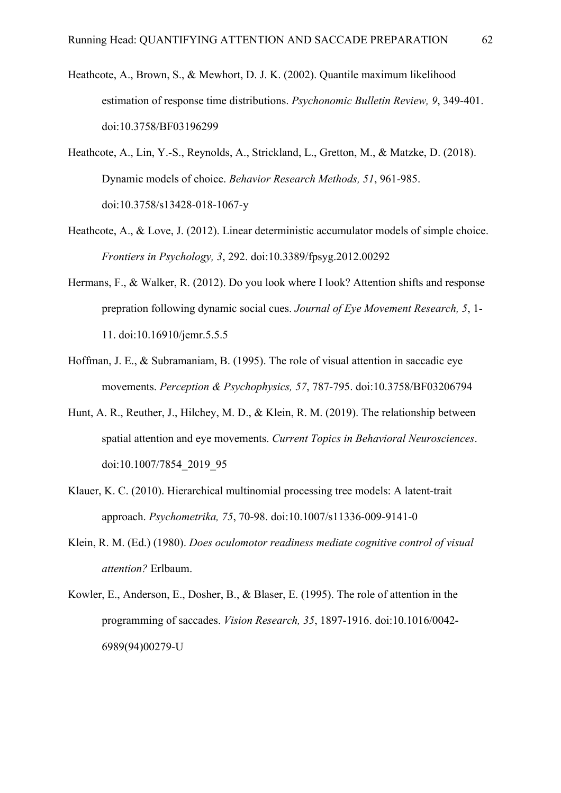- Heathcote, A., Brown, S., & Mewhort, D. J. K. (2002). Quantile maximum likelihood estimation of response time distributions. *Psychonomic Bulletin Review, 9*, 349-401. doi:10.3758/BF03196299
- Heathcote, A., Lin, Y.-S., Reynolds, A., Strickland, L., Gretton, M., & Matzke, D. (2018). Dynamic models of choice. *Behavior Research Methods, 51*, 961-985. doi:10.3758/s13428-018-1067-y
- Heathcote, A., & Love, J. (2012). Linear deterministic accumulator models of simple choice. *Frontiers in Psychology, 3*, 292. doi:10.3389/fpsyg.2012.00292
- Hermans, F., & Walker, R. (2012). Do you look where I look? Attention shifts and response prepration following dynamic social cues. *Journal of Eye Movement Research, 5*, 1- 11. doi:10.16910/jemr.5.5.5
- Hoffman, J. E., & Subramaniam, B. (1995). The role of visual attention in saccadic eye movements. *Perception & Psychophysics, 57*, 787-795. doi:10.3758/BF03206794
- Hunt, A. R., Reuther, J., Hilchey, M. D., & Klein, R. M. (2019). The relationship between spatial attention and eye movements. *Current Topics in Behavioral Neurosciences*. doi:10.1007/7854\_2019\_95
- Klauer, K. C. (2010). Hierarchical multinomial processing tree models: A latent-trait approach. *Psychometrika, 75*, 70-98. doi:10.1007/s11336-009-9141-0
- Klein, R. M. (Ed.) (1980). *Does oculomotor readiness mediate cognitive control of visual attention?* Erlbaum.
- Kowler, E., Anderson, E., Dosher, B., & Blaser, E. (1995). The role of attention in the programming of saccades. *Vision Research, 35*, 1897-1916. doi:10.1016/0042- 6989(94)00279-U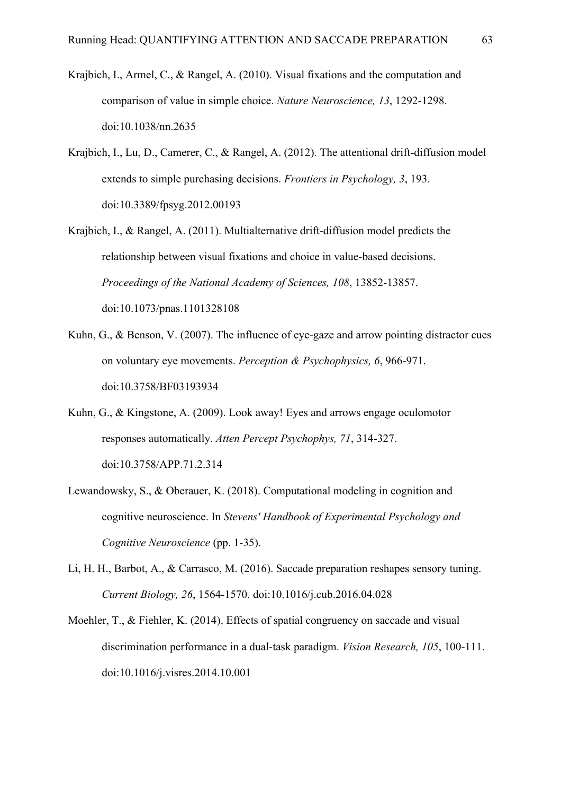- Krajbich, I., Armel, C., & Rangel, A. (2010). Visual fixations and the computation and comparison of value in simple choice. *Nature Neuroscience, 13*, 1292-1298. doi:10.1038/nn.2635
- Krajbich, I., Lu, D., Camerer, C., & Rangel, A. (2012). The attentional drift-diffusion model extends to simple purchasing decisions. *Frontiers in Psychology, 3*, 193. doi:10.3389/fpsyg.2012.00193
- Krajbich, I., & Rangel, A. (2011). Multialternative drift-diffusion model predicts the relationship between visual fixations and choice in value-based decisions. *Proceedings of the National Academy of Sciences, 108*, 13852-13857. doi:10.1073/pnas.1101328108
- Kuhn, G., & Benson, V. (2007). The influence of eye-gaze and arrow pointing distractor cues on voluntary eye movements. *Perception & Psychophysics, 6*, 966-971. doi:10.3758/BF03193934
- Kuhn, G., & Kingstone, A. (2009). Look away! Eyes and arrows engage oculomotor responses automatically. *Atten Percept Psychophys, 71*, 314-327. doi:10.3758/APP.71.2.314
- Lewandowsky, S., & Oberauer, K. (2018). Computational modeling in cognition and cognitive neuroscience. In *Stevens' Handbook of Experimental Psychology and Cognitive Neuroscience* (pp. 1-35).
- Li, H. H., Barbot, A., & Carrasco, M. (2016). Saccade preparation reshapes sensory tuning. *Current Biology, 26*, 1564-1570. doi:10.1016/j.cub.2016.04.028
- Moehler, T., & Fiehler, K. (2014). Effects of spatial congruency on saccade and visual discrimination performance in a dual-task paradigm. *Vision Research, 105*, 100-111. doi:10.1016/j.visres.2014.10.001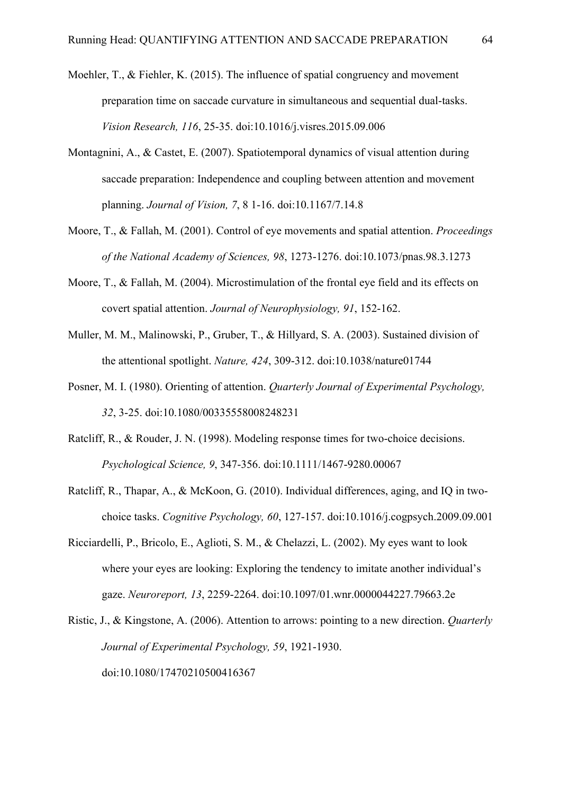- Moehler, T., & Fiehler, K. (2015). The influence of spatial congruency and movement preparation time on saccade curvature in simultaneous and sequential dual-tasks. *Vision Research, 116*, 25-35. doi:10.1016/j.visres.2015.09.006
- Montagnini, A., & Castet, E. (2007). Spatiotemporal dynamics of visual attention during saccade preparation: Independence and coupling between attention and movement planning. *Journal of Vision, 7*, 8 1-16. doi:10.1167/7.14.8
- Moore, T., & Fallah, M. (2001). Control of eye movements and spatial attention. *Proceedings of the National Academy of Sciences, 98*, 1273-1276. doi:10.1073/pnas.98.3.1273
- Moore, T., & Fallah, M. (2004). Microstimulation of the frontal eye field and its effects on covert spatial attention. *Journal of Neurophysiology, 91*, 152-162.
- Muller, M. M., Malinowski, P., Gruber, T., & Hillyard, S. A. (2003). Sustained division of the attentional spotlight. *Nature, 424*, 309-312. doi:10.1038/nature01744
- Posner, M. I. (1980). Orienting of attention. *Quarterly Journal of Experimental Psychology, 32*, 3-25. doi:10.1080/00335558008248231
- Ratcliff, R., & Rouder, J. N. (1998). Modeling response times for two-choice decisions. *Psychological Science, 9*, 347-356. doi:10.1111/1467-9280.00067
- Ratcliff, R., Thapar, A., & McKoon, G. (2010). Individual differences, aging, and IQ in twochoice tasks. *Cognitive Psychology, 60*, 127-157. doi:10.1016/j.cogpsych.2009.09.001
- Ricciardelli, P., Bricolo, E., Aglioti, S. M., & Chelazzi, L. (2002). My eyes want to look where your eyes are looking: Exploring the tendency to imitate another individual's gaze. *Neuroreport, 13*, 2259-2264. doi:10.1097/01.wnr.0000044227.79663.2e
- Ristic, J., & Kingstone, A. (2006). Attention to arrows: pointing to a new direction. *Quarterly Journal of Experimental Psychology, 59*, 1921-1930. doi:10.1080/17470210500416367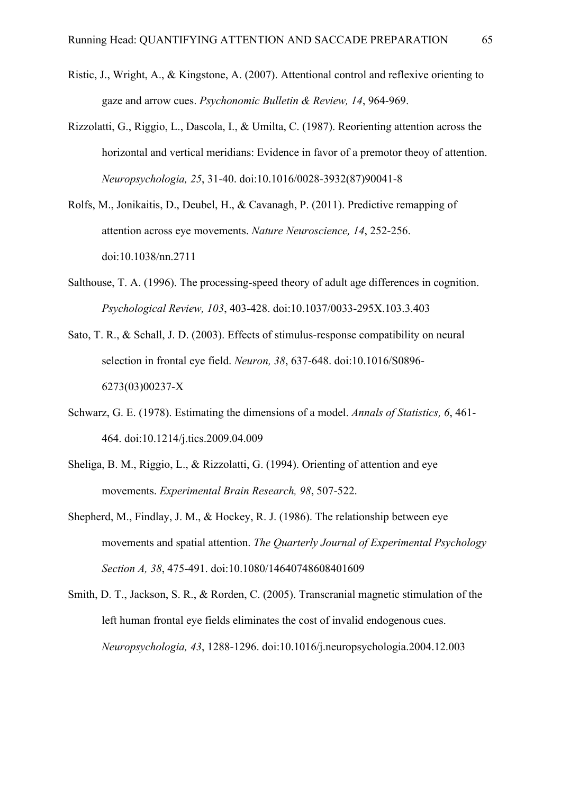- Ristic, J., Wright, A., & Kingstone, A. (2007). Attentional control and reflexive orienting to gaze and arrow cues. *Psychonomic Bulletin & Review, 14*, 964-969.
- Rizzolatti, G., Riggio, L., Dascola, I., & Umilta, C. (1987). Reorienting attention across the horizontal and vertical meridians: Evidence in favor of a premotor theoy of attention. *Neuropsychologia, 25*, 31-40. doi:10.1016/0028-3932(87)90041-8
- Rolfs, M., Jonikaitis, D., Deubel, H., & Cavanagh, P. (2011). Predictive remapping of attention across eye movements. *Nature Neuroscience, 14*, 252-256. doi:10.1038/nn.2711
- Salthouse, T. A. (1996). The processing-speed theory of adult age differences in cognition. *Psychological Review, 103*, 403-428. doi:10.1037/0033-295X.103.3.403
- Sato, T. R., & Schall, J. D. (2003). Effects of stimulus-response compatibility on neural selection in frontal eye field. *Neuron, 38*, 637-648. doi:10.1016/S0896- 6273(03)00237-X
- Schwarz, G. E. (1978). Estimating the dimensions of a model. *Annals of Statistics, 6*, 461- 464. doi:10.1214/j.tics.2009.04.009
- Sheliga, B. M., Riggio, L., & Rizzolatti, G. (1994). Orienting of attention and eye movements. *Experimental Brain Research, 98*, 507-522.
- Shepherd, M., Findlay, J. M., & Hockey, R. J. (1986). The relationship between eye movements and spatial attention. *The Quarterly Journal of Experimental Psychology Section A, 38*, 475-491. doi:10.1080/14640748608401609
- Smith, D. T., Jackson, S. R., & Rorden, C. (2005). Transcranial magnetic stimulation of the left human frontal eye fields eliminates the cost of invalid endogenous cues. *Neuropsychologia, 43*, 1288-1296. doi:10.1016/j.neuropsychologia.2004.12.003